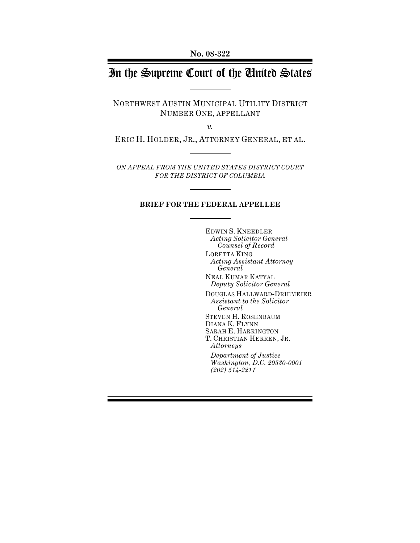# In the Supreme Court of the United States

NORTHWEST AUSTIN MUNICIPAL UTILITY DISTRICT NUMBER ONE, APPELLANT

*v.*

ERIC H. HOLDER, JR., ATTORNEY GENERAL, ET AL.

*ON APPEAL FROM THE UNITED STATES DISTRICT COURT FOR THE DISTRICT OF COLUMBIA*

#### **BRIEF FOR THE FEDERAL APPELLEE**

EDWIN S. KNEEDLER *Acting Solicitor General Counsel of Record* LORETTA KING *Acting Assistant Attorney General* NEAL KUMAR KATYAL *Deputy Solicitor General* DOUGLAS HALLWARD-DRIEMEIER *Assistant to the Solicitor General* STEVEN H. ROSENBAUM DIANA K. FLYNN SARAH E. HARRINGTON T. CHRISTIAN HERREN, JR. *Attorneys Department of Justice Washington, D.C. 20530-0001 (202) 514-2217*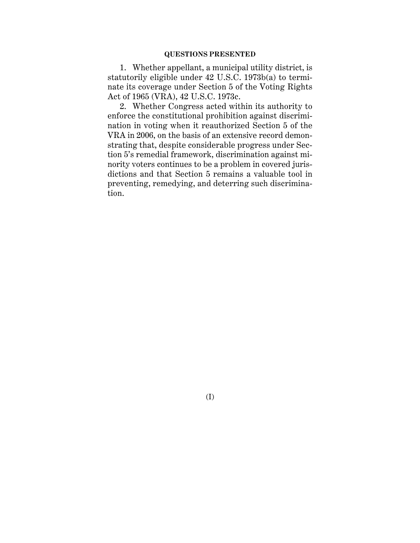#### **QUESTIONS PRESENTED**

1. Whether appellant, a municipal utility district, is statutorily eligible under 42 U.S.C. 1973b(a) to terminate its coverage under Section 5 of the Voting Rights Act of 1965 (VRA), 42 U.S.C. 1973c.

2. Whether Congress acted within its authority to enforce the constitutional prohibition against discrimination in voting when it reauthorized Section 5 of the VRA in 2006, on the basis of an extensive record demonstrating that, despite considerable progress under Section 5's remedial framework, discrimination against minority voters continues to be a problem in covered jurisdictions and that Section 5 remains a valuable tool in preventing, remedying, and deterring such discrimination.

(I)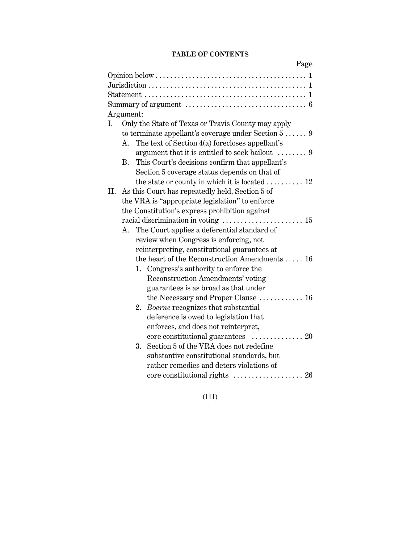## **TABLE OF CONTENTS**

|     |                 |    |                                                                          | Page |
|-----|-----------------|----|--------------------------------------------------------------------------|------|
|     |                 |    |                                                                          |      |
|     |                 |    |                                                                          |      |
|     |                 |    |                                                                          |      |
|     |                 |    |                                                                          |      |
|     | Argument:       |    |                                                                          |      |
| Ι.  |                 |    | Only the State of Texas or Travis County may apply                       |      |
|     |                 |    | to terminate appellant's coverage under Section $5$ 9                    |      |
|     | A.              |    | The text of Section 4(a) forecloses appellant's                          |      |
|     |                 |    | argument that it is entitled to seek bailout $\dots \dots$               |      |
|     | $\rm R_{\odot}$ |    | This Court's decisions confirm that appellant's                          |      |
|     |                 |    | Section 5 coverage status depends on that of                             |      |
|     |                 |    | the state or county in which it is located  12                           |      |
| II. |                 |    | As this Court has repeatedly held, Section 5 of                          |      |
|     |                 |    | the VRA is "appropriate legislation" to enforce                          |      |
|     |                 |    | the Constitution's express prohibition against                           |      |
|     |                 |    | racial discrimination in voting $\dots\dots\dots\dots\dots\dots\dots$ 15 |      |
|     | А.              |    | The Court applies a deferential standard of                              |      |
|     |                 |    | review when Congress is enforcing, not                                   |      |
|     |                 |    | reinterpreting, constitutional guarantees at                             |      |
|     |                 |    | the heart of the Reconstruction Amendments  16                           |      |
|     |                 |    | 1. Congress's authority to enforce the                                   |      |
|     |                 |    | Reconstruction Amendments' voting                                        |      |
|     |                 |    | guarantees is as broad as that under                                     |      |
|     |                 |    | the Necessary and Proper Clause  16                                      |      |
|     |                 | 2. | Boerne recognizes that substantial                                       |      |
|     |                 |    | deference is owed to legislation that                                    |      |
|     |                 |    | enforces, and does not reinterpret,                                      |      |
|     |                 |    | core constitutional guarantees  20                                       |      |
|     |                 | 3. | Section 5 of the VRA does not redefine                                   |      |
|     |                 |    | substantive constitutional standards, but                                |      |
|     |                 |    | rather remedies and deters violations of                                 |      |
|     |                 |    |                                                                          |      |
|     |                 |    |                                                                          |      |

(III)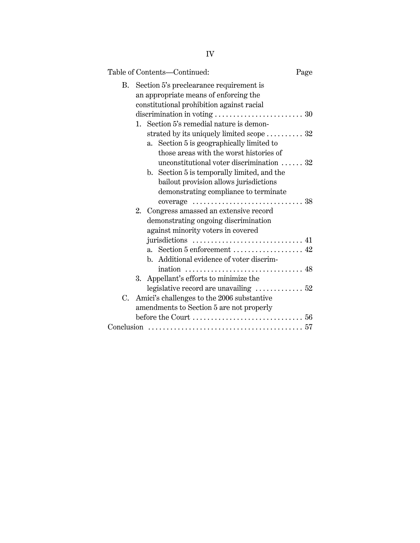|    |    | Table of Contents-Continued:                                                     | Page |
|----|----|----------------------------------------------------------------------------------|------|
| B. |    | Section 5's preclearance requirement is<br>an appropriate means of enforcing the |      |
|    |    | constitutional prohibition against racial                                        |      |
|    |    |                                                                                  |      |
|    |    | 1. Section 5's remedial nature is demon-                                         |      |
|    |    | strated by its uniquely limited scope  32                                        |      |
|    |    | a. Section 5 is geographically limited to                                        |      |
|    |    | those areas with the worst histories of                                          |      |
|    |    | unconstitutional voter discrimination $\ldots$ 32                                |      |
|    |    | b. Section 5 is temporally limited, and the                                      |      |
|    |    | bailout provision allows jurisdictions                                           |      |
|    |    | demonstrating compliance to terminate                                            |      |
|    |    |                                                                                  |      |
|    |    | 2. Congress amassed an extensive record                                          |      |
|    |    | demonstrating ongoing discrimination                                             |      |
|    |    | against minority voters in covered                                               |      |
|    |    |                                                                                  |      |
|    |    |                                                                                  |      |
|    |    | b. Additional evidence of voter discrim-                                         |      |
|    |    |                                                                                  |      |
|    | 3. | Appellant's efforts to minimize the                                              |      |
|    |    | legislative record are unavailing $\ldots \ldots \ldots \ldots 52$               |      |
| C. |    | Amici's challenges to the 2006 substantive                                       |      |
|    |    | amendments to Section 5 are not properly                                         |      |
|    |    |                                                                                  |      |
|    |    |                                                                                  |      |
|    |    |                                                                                  |      |

# IV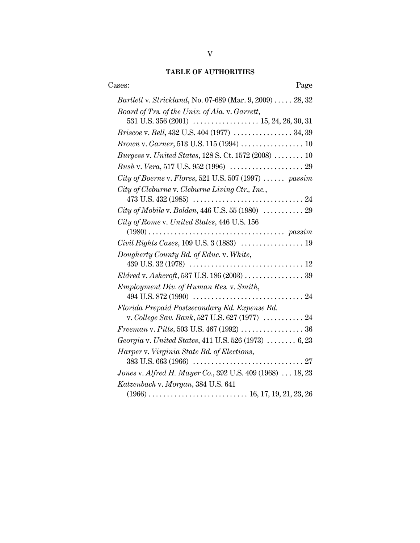# **TABLE OF AUTHORITIES**

| Cases:<br>Page                                                                                      |
|-----------------------------------------------------------------------------------------------------|
| Bartlett v. Strickland, No. 07-689 (Mar. 9, 2009)  28, 32                                           |
| Board of Trs. of the Univ. of Ala. v. Garrett,                                                      |
|                                                                                                     |
| Briscoe v. Bell, 432 U.S. 404 (1977)  34, 39                                                        |
|                                                                                                     |
| <i>Burgess v. United States, 128 S. Ct. 1572 (2008)</i> $\ldots \ldots \ldots$ 10                   |
|                                                                                                     |
| City of Boerne v. Flores, 521 U.S. 507 (1997)  passim                                               |
| City of Cleburne v. Cleburne Living Ctr., Inc.,                                                     |
| $473 \text{ U.S. } 432 \,(1985) \,\, \ldots \ldots \ldots \ldots \ldots \ldots \ldots \ldots \, 24$ |
| City of Mobile v. Bolden, 446 U.S. 55 (1980)  29                                                    |
| City of Rome v. United States, 446 U.S. 156                                                         |
| Civil Rights Cases, 109 U.S. 3 (1883)  19                                                           |
| Dougherty County Bd. of Educ. v. White,                                                             |
|                                                                                                     |
| <i>Employment Div. of Human Res. v. Smith,</i>                                                      |
|                                                                                                     |
| Florida Prepaid Postsecondary Ed. Expense Bd.                                                       |
| v. College Sav. Bank, 527 U.S. 627 (1977)  24                                                       |
|                                                                                                     |
| Georgia v. United States, 411 U.S. 526 (1973)  6, 23                                                |
| Harper v. Virginia State Bd. of Elections,                                                          |
| Jones v. Alfred H. Mayer Co., 392 U.S. 409 (1968)  18, 23                                           |
| Katzenbach v. Morgan, 384 U.S. 641                                                                  |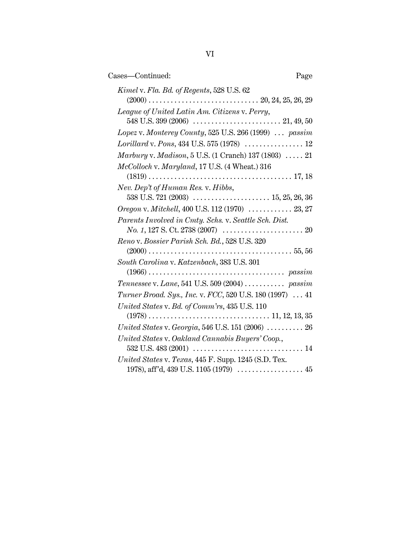| Cases-Continued:<br>Page                                                    |  |
|-----------------------------------------------------------------------------|--|
| Kimel v. Fla. Bd. of Regents, 528 U.S. 62                                   |  |
| League of United Latin Am. Citizens v. Perry,                               |  |
| Lopez v. Monterey County, 525 U.S. 266 (1999)  passim                       |  |
|                                                                             |  |
| <i>Marbury</i> v. <i>Madison</i> , 5 U.S. (1 Cranch) 137 (1803) $\ldots$ 21 |  |
| McColloch v. Maryland, 17 U.S. (4 Wheat.) 316                               |  |
|                                                                             |  |
| Nev. Dep't of Human Res. v. Hibbs,                                          |  |
|                                                                             |  |
| Oregon v. Mitchell, 400 U.S. 112 (1970)  23, 27                             |  |
| Parents Involved in Cmty. Schs. v. Seattle Sch. Dist.                       |  |
| Reno v. Bossier Parish Sch. Bd., 528 U.S. 320                               |  |
| South Carolina v. Katzenbach, 383 U.S. 301                                  |  |
|                                                                             |  |
| Tennessee v. Lane, 541 U.S. 509 (2004)  passim                              |  |
| Turner Broad. Sys., Inc. v. FCC, 520 U.S. 180 (1997)  41                    |  |
| United States v. Bd. of Comm'rs, 435 U.S. 110                               |  |
| United States v. Georgia, 546 U.S. 151 (2006)  26                           |  |
| United States v. Oakland Cannabis Buyers' Coop.,                            |  |
| United States v. Texas, 445 F. Supp. 1245 (S.D. Tex.                        |  |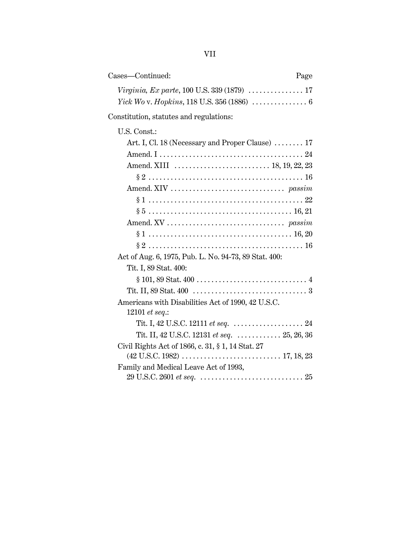| Cases—Continued: | Page |
|------------------|------|
|                  |      |
|                  |      |

Constitution, statutes and regulations:

| U.S. Const.:                                                                   |
|--------------------------------------------------------------------------------|
| Art. I, Cl. 18 (Necessary and Proper Clause)  17                               |
|                                                                                |
|                                                                                |
|                                                                                |
|                                                                                |
|                                                                                |
|                                                                                |
|                                                                                |
|                                                                                |
|                                                                                |
| Act of Aug. 6, 1975, Pub. L. No. 94-73, 89 Stat. 400:                          |
| Tit. I, 89 Stat. 400:                                                          |
|                                                                                |
|                                                                                |
| Americans with Disabilities Act of 1990, 42 U.S.C.                             |
| 12101 <i>et seq.</i> :                                                         |
| Tit. I, 42 U.S.C. 12111 <i>et seq.</i> $\ldots \ldots \ldots \ldots \ldots 24$ |
| Tit. II, 42 U.S.C. 12131 et seq. $\ldots \ldots \ldots \ldots 25, 26, 36$      |
| Civil Rights Act of 1866, c. 31, § 1, 14 Stat. 27                              |
| Family and Medical Leave Act of 1993,                                          |
|                                                                                |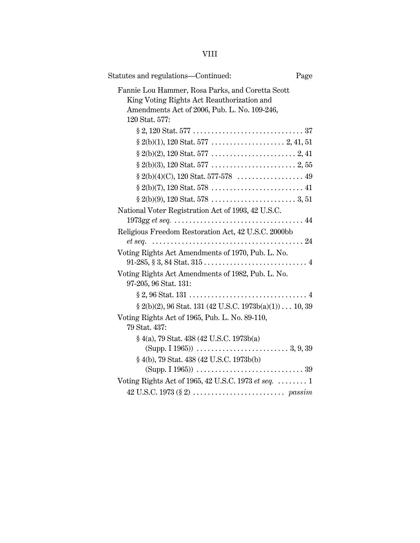| Statutes and regulations—Continued:<br>Page                                                                                                                      |  |
|------------------------------------------------------------------------------------------------------------------------------------------------------------------|--|
| Fannie Lou Hammer, Rosa Parks, and Coretta Scott<br>King Voting Rights Act Reauthorization and<br>Amendments Act of 2006, Pub. L. No. 109-246,<br>120 Stat. 577: |  |
| $\S\,2, 120\,\mathrm{Stat.}\,577\,\ldots\ldots\ldots\ldots\ldots\ldots\ldots\ldots\ldots\ldots\,37$                                                              |  |
|                                                                                                                                                                  |  |
|                                                                                                                                                                  |  |
|                                                                                                                                                                  |  |
|                                                                                                                                                                  |  |
|                                                                                                                                                                  |  |
|                                                                                                                                                                  |  |
| National Voter Registration Act of 1993, 42 U.S.C.                                                                                                               |  |
|                                                                                                                                                                  |  |
| Religious Freedom Restoration Act, 42 U.S.C. 2000bb                                                                                                              |  |
|                                                                                                                                                                  |  |
| Voting Rights Act Amendments of 1970, Pub. L. No.                                                                                                                |  |
| Voting Rights Act Amendments of 1982, Pub. L. No.<br>97-205, 96 Stat. 131:                                                                                       |  |
|                                                                                                                                                                  |  |
| $\S 2(b)(2)$ , 96 Stat. 131 (42 U.S.C. 1973b(a)(1)) 10, 39                                                                                                       |  |
| Voting Rights Act of 1965, Pub. L. No. 89-110,<br>79 Stat. 437:                                                                                                  |  |
| § 4(a), 79 Stat. 438 (42 U.S.C. 1973b(a)                                                                                                                         |  |
| § 4(b), 79 Stat. 438 (42 U.S.C. 1973b(b)                                                                                                                         |  |
| Voting Rights Act of 1965, 42 U.S.C. 1973 et seq.  1                                                                                                             |  |
|                                                                                                                                                                  |  |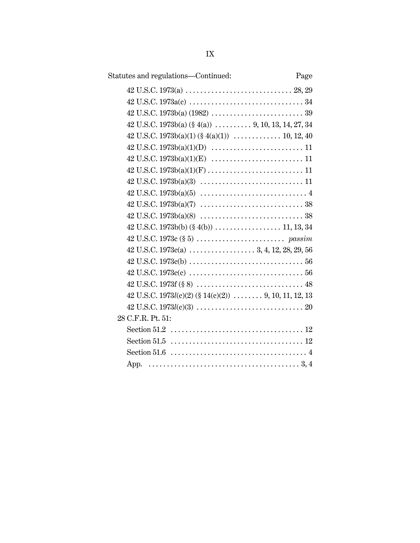| Statutes and regulations-Continued:                                                                                        | Page |
|----------------------------------------------------------------------------------------------------------------------------|------|
|                                                                                                                            |      |
|                                                                                                                            |      |
|                                                                                                                            |      |
| $42$ U.S.C. 1973b(a) (§ 4(a))  9, 10, 13, 14, 27, 34                                                                       |      |
|                                                                                                                            |      |
|                                                                                                                            |      |
|                                                                                                                            |      |
|                                                                                                                            |      |
|                                                                                                                            |      |
| $42 \text{ U.S.C. } 1973b(a)(5) \dots \dots \dots \dots \dots \dots \dots \dots \dots \dots \dots \dots \dots \dots \dots$ |      |
|                                                                                                                            |      |
|                                                                                                                            |      |
|                                                                                                                            |      |
| $42 \text{ U.S.C. } 1973c \text{ } (\S 5) \text{ } \dots \dots \dots \dots \dots \dots \dots \dots \text{ } passim$        |      |
|                                                                                                                            |      |
|                                                                                                                            |      |
|                                                                                                                            |      |
|                                                                                                                            |      |
| 42 U.S.C. 1973 $l(c)(2)$ (§ 14(c)(2))  9, 10, 11, 12, 13                                                                   |      |
| $42 \text{ U.S.C. } 1973l(c)(3) \ldots \ldots \ldots \ldots \ldots \ldots \ldots \ldots \ldots \ldots 20$                  |      |
| 28 C.F.R. Pt. 51:                                                                                                          |      |
|                                                                                                                            |      |
|                                                                                                                            |      |
| Section 51.6 $\dots \dots \dots \dots \dots \dots \dots \dots \dots \dots \dots \dots$                                     |      |
|                                                                                                                            |      |
|                                                                                                                            |      |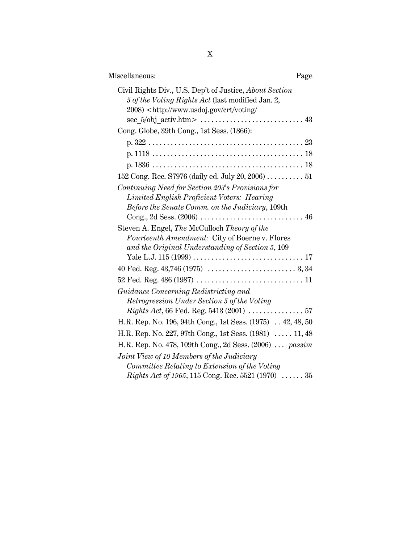| Miscellaneous:                                                                                                                                                                              | Page |
|---------------------------------------------------------------------------------------------------------------------------------------------------------------------------------------------|------|
| Civil Rights Div., U.S. Dep't of Justice, About Section<br>5 of the Voting Rights Act (last modified Jan. 2,<br>2008) <http: <="" crt="" td="" voting="" www.usdoj.gov=""><td></td></http:> |      |
| Cong. Globe, 39th Cong., 1st Sess. (1866):                                                                                                                                                  |      |
| $p. 322 23$                                                                                                                                                                                 |      |
|                                                                                                                                                                                             |      |
|                                                                                                                                                                                             |      |
| 152 Cong. Rec. S7976 (daily ed. July 20, 2006)  51                                                                                                                                          |      |
| Continuing Need for Section 203's Provisions for                                                                                                                                            |      |
| Limited English Proficient Voters: Hearing<br>Before the Senate Comm. on the Judiciary, 109th                                                                                               |      |
| Steven A. Engel, The McCulloch Theory of the<br>Fourteenth Amendment: City of Boerne v. Flores<br>and the Original Understanding of Section 5, 109                                          |      |
|                                                                                                                                                                                             |      |
|                                                                                                                                                                                             |      |
|                                                                                                                                                                                             |      |
| Guidance Concerning Redistricting and                                                                                                                                                       |      |
| Retrogression Under Section 5 of the Voting                                                                                                                                                 |      |
| <i>Rights Act</i> , 66 Fed. Reg. 5413 (2001) $\ldots \ldots \ldots \ldots 57$                                                                                                               |      |
| H.R. Rep. No. 196, 94th Cong., 1st Sess. (1975) 42, 48, 50                                                                                                                                  |      |
| H.R. Rep. No. 227, 97th Cong., 1st Sess. (1981)  11, 48                                                                                                                                     |      |
| H.R. Rep. No. 478, 109th Cong., 2d Sess. (2006)  passim                                                                                                                                     |      |
| Joint View of 10 Members of the Judiciary<br>Committee Relating to Extension of the Voting                                                                                                  |      |
| <i>Rights Act of 1965</i> , 115 Cong. Rec. 5521 (1970)  35                                                                                                                                  |      |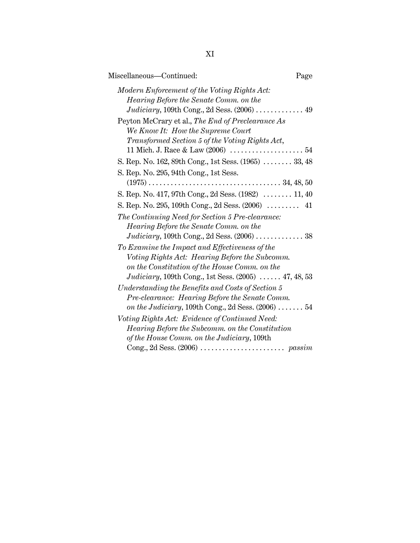| Miscellaneous-Continued:<br>Page                                                                                                                                                                                   |
|--------------------------------------------------------------------------------------------------------------------------------------------------------------------------------------------------------------------|
| Modern Enforcement of the Voting Rights Act:<br>Hearing Before the Senate Comm. on the                                                                                                                             |
| Peyton McCrary et al., The End of Preclearance As<br>We Know It: How the Supreme Court<br>Transformed Section 5 of the Voting Rights Act,                                                                          |
| S. Rep. No. 162, 89th Cong., 1st Sess. (1965)  33, 48                                                                                                                                                              |
| S. Rep. No. 295, 94th Cong., 1st Sess.                                                                                                                                                                             |
| S. Rep. No. 417, 97th Cong., 2d Sess. $(1982)$ 11, 40                                                                                                                                                              |
| S. Rep. No. 295, 109th Cong., 2d Sess. (2006)  41                                                                                                                                                                  |
| The Continuing Need for Section 5 Pre-clearance:<br>Hearing Before the Senate Comm. on the<br>Judiciary, 109th Cong., 2d Sess. $(2006)$ 38                                                                         |
| To Examine the Impact and Effectiveness of the<br>Voting Rights Act: Hearing Before the Subcomm.<br>on the Constitution of the House Comm. on the<br><i>Judiciary</i> , 109th Cong., 1st Sess. $(2005)$ 47, 48, 53 |
| Understanding the Benefits and Costs of Section 5<br>Pre-clearance: Hearing Before the Senate Comm.<br>on the Judiciary, 109th Cong., 2d Sess. $(2006)$ 54                                                         |
| Voting Rights Act: Evidence of Continued Need:<br>Hearing Before the Subcomm. on the Constitution<br>of the House Comm. on the Judiciary, 109th                                                                    |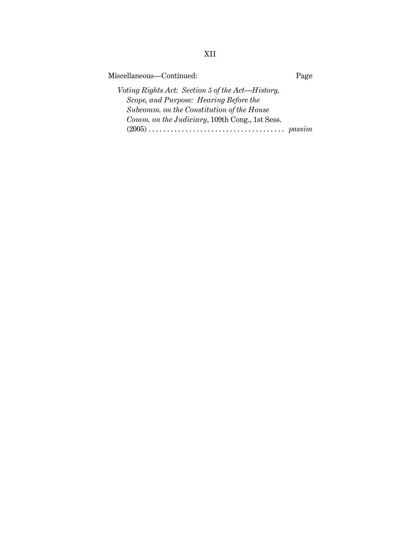Miscellaneous—Continued: Page

*Voting Rights Act: Section 5 of the Act—History, Scope, and Purpose: Hearing Before the Subcomm. on the Constitution of the House Comm. on the Judiciary*, 109th Cong., 1st Sess. (2005) ..................................... *passim*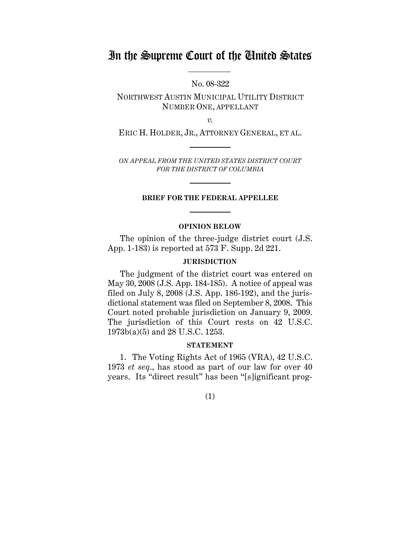# In the Supreme Court of the United States

No. 08-322

NORTHWEST AUSTIN MUNICIPAL UTILITY DISTRICT NUMBER ONE, APPELLANT

*v.*

ERIC H. HOLDER, JR., ATTORNEY GENERAL, ET AL.

*ON APPEAL FROM THE UNITED STATES DISTRICT COURT FOR THE DISTRICT OF COLUMBIA*

### **BRIEF FOR THE FEDERAL APPELLEE**

### **OPINION BELOW**

The opinion of the three-judge district court (J.S. App. 1-183) is reported at 573 F. Supp. 2d 221.

## **JURISDICTION**

The judgment of the district court was entered on May 30, 2008 (J.S. App. 184-185). A notice of appeal was filed on July 8, 2008 (J.S. App. 186-192), and the jurisdictional statement was filed on September 8, 2008. This Court noted probable jurisdiction on January 9, 2009. The jurisdiction of this Court rests on 42 U.S.C. 1973b(a)(5) and 28 U.S.C. 1253.

#### **STATEMENT**

1. The Voting Rights Act of 1965 (VRA), 42 U.S.C. 1973 *et seq*., has stood as part of our law for over 40 years. Its "direct result" has been "[s]ignificant prog-

(1)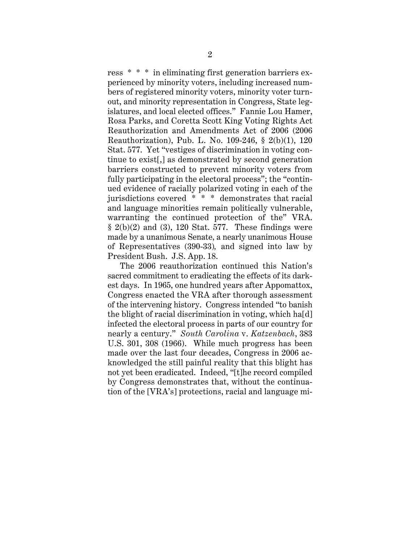ress \* \* \* in eliminating first generation barriers experienced by minority voters, including increased numbers of registered minority voters, minority voter turnout, and minority representation in Congress, State legislatures, and local elected offices." Fannie Lou Hamer, Rosa Parks, and Coretta Scott King Voting Rights Act Reauthorization and Amendments Act of 2006 (2006 Reauthorization), Pub. L. No. 109-246, § 2(b)(1), 120 Stat. 577. Yet "vestiges of discrimination in voting continue to exist[,] as demonstrated by second generation barriers constructed to prevent minority voters from fully participating in the electoral process"; the "continued evidence of racially polarized voting in each of the jurisdictions covered \* \* \* demonstrates that racial and language minorities remain politically vulnerable, warranting the continued protection of the" VRA.  $\S$  2(b)(2) and (3), 120 Stat. 577. These findings were made by a unanimous Senate, a nearly unanimous House of Representatives (390-33)*,* and signed into law by President Bush. J.S. App. 18.

The 2006 reauthorization continued this Nation's sacred commitment to eradicating the effects of its darkest days. In 1965, one hundred years after Appomattox, Congress enacted the VRA after thorough assessment of the intervening history. Congress intended "to banish the blight of racial discrimination in voting, which hald infected the electoral process in parts of our country for nearly a century." *South Carolina* v. *Katzenbach*, 383 U.S. 301, 308 (1966). While much progress has been made over the last four decades, Congress in 2006 acknowledged the still painful reality that this blight has not yet been eradicated. Indeed, "[t]he record compiled by Congress demonstrates that, without the continuation of the [VRA's] protections, racial and language mi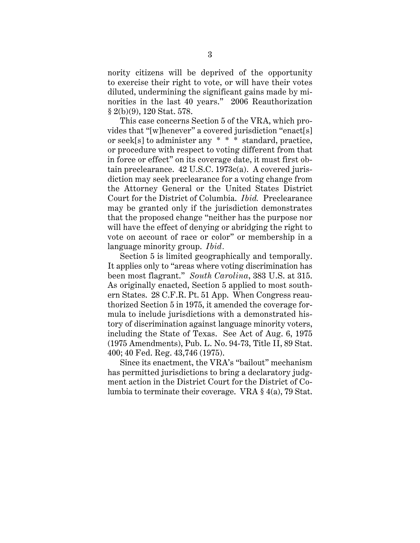nority citizens will be deprived of the opportunity to exercise their right to vote, or will have their votes diluted, undermining the significant gains made by minorities in the last 40 years." 2006 Reauthorization § 2(b)(9), 120 Stat. 578.

This case concerns Section 5 of the VRA, which provides that "[w]henever" a covered jurisdiction "enact[s] or seek[s] to administer any \* \* \* standard, practice, or procedure with respect to voting different from that in force or effect" on its coverage date, it must first obtain preclearance. 42 U.S.C. 1973c(a). A covered jurisdiction may seek preclearance for a voting change from the Attorney General or the United States District Court for the District of Columbia. *Ibid.* Preclearance may be granted only if the jurisdiction demonstrates that the proposed change "neither has the purpose nor will have the effect of denying or abridging the right to vote on account of race or color" or membership in a language minority group. *Ibid.*

Section 5 is limited geographically and temporally. It applies only to "areas where voting discrimination has been most flagrant." *South Carolina*, 383 U.S. at 315. As originally enacted, Section 5 applied to most southern States. 28 C.F.R. Pt. 51 App. When Congress reauthorized Section 5 in 1975, it amended the coverage formula to include jurisdictions with a demonstrated history of discrimination against language minority voters, including the State of Texas. See Act of Aug. 6, 1975 (1975 Amendments), Pub. L. No. 94-73, Title II, 89 Stat. 400; 40 Fed. Reg. 43,746 (1975).

Since its enactment, the VRA's "bailout" mechanism has permitted jurisdictions to bring a declaratory judgment action in the District Court for the District of Columbia to terminate their coverage. VRA § 4(a), 79 Stat.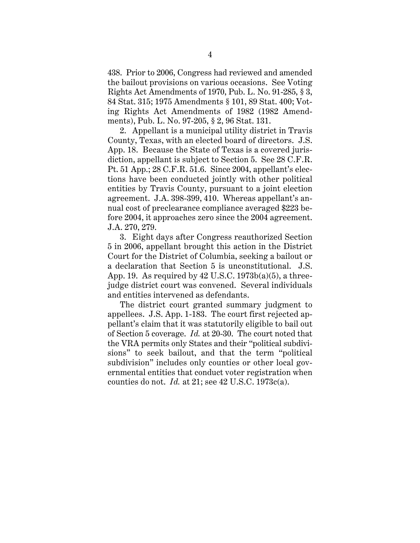438. Prior to 2006, Congress had reviewed and amended the bailout provisions on various occasions. See Voting Rights Act Amendments of 1970, Pub. L. No. 91-285, § 3, 84 Stat. 315; 1975 Amendments § 101, 89 Stat. 400; Voting Rights Act Amendments of 1982 (1982 Amendments), Pub. L. No. 97-205, § 2, 96 Stat. 131.

2. Appellant is a municipal utility district in Travis County, Texas, with an elected board of directors. J.S. App. 18. Because the State of Texas is a covered jurisdiction, appellant is subject to Section 5. See 28 C.F.R. Pt. 51 App.; 28 C.F.R. 51.6. Since 2004, appellant's elections have been conducted jointly with other political entities by Travis County, pursuant to a joint election agreement. J.A. 398-399, 410. Whereas appellant's annual cost of preclearance compliance averaged \$223 before 2004, it approaches zero since the 2004 agreement. J.A. 270, 279.

3. Eight days after Congress reauthorized Section 5 in 2006, appellant brought this action in the District Court for the District of Columbia, seeking a bailout or a declaration that Section 5 is unconstitutional. J.S. App. 19. As required by  $42 \text{ U.S.C. } 1973b(a)(5)$ , a threejudge district court was convened. Several individuals and entities intervened as defendants.

The district court granted summary judgment to appellees. J.S. App. 1-183. The court first rejected appellant's claim that it was statutorily eligible to bail out of Section 5 coverage. *Id.* at 20-30. The court noted that the VRA permits only States and their "political subdivisions" to seek bailout, and that the term "political subdivision" includes only counties or other local governmental entities that conduct voter registration when counties do not. *Id.* at 21; see 42 U.S.C. 1973c(a).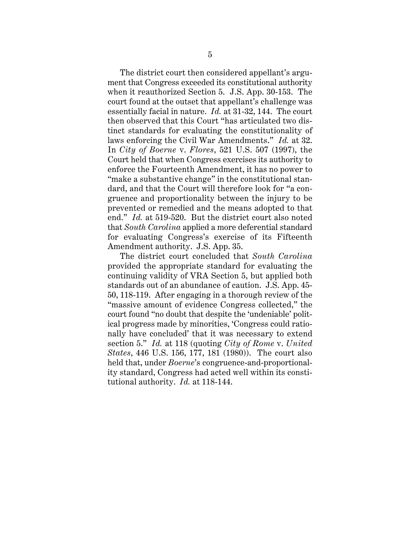The district court then considered appellant's argument that Congress exceeded its constitutional authority when it reauthorized Section 5. J.S. App. 30-153. The court found at the outset that appellant's challenge was essentially facial in nature. *Id.* at 31-32, 144. The court then observed that this Court "has articulated two distinct standards for evaluating the constitutionality of laws enforcing the Civil War Amendments." *Id.* at 32. In *City of Boerne* v. *Flores*, 521 U.S. 507 (1997), the Court held that when Congress exercises its authority to enforce the Fourteenth Amendment, it has no power to "make a substantive change" in the constitutional standard, and that the Court will therefore look for "a congruence and proportionality between the injury to be prevented or remedied and the means adopted to that end." *Id.* at 519-520. But the district court also noted that *South Carolina* applied a more deferential standard for evaluating Congress's exercise of its Fifteenth Amendment authority. J.S. App. 35.

The district court concluded that *South Carolina* provided the appropriate standard for evaluating the continuing validity of VRA Section 5, but applied both standards out of an abundance of caution. J.S. App. 45- 50, 118-119. After engaging in a thorough review of the "massive amount of evidence Congress collected," the court found "no doubt that despite the 'undeniable' political progress made by minorities, 'Congress could rationally have concluded' that it was necessary to extend section 5." *Id.* at 118 (quoting *City of Rome* v. *United States*, 446 U.S. 156, 177, 181 (1980)). The court also held that, under *Boerne*'s congruence-and-proportionality standard, Congress had acted well within its constitutional authority. *Id.* at 118-144.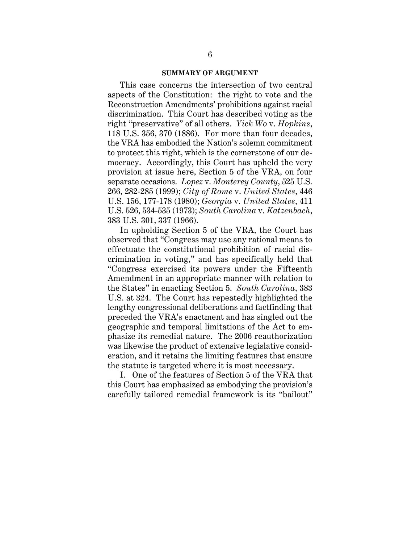#### **SUMMARY OF ARGUMENT**

This case concerns the intersection of two central aspects of the Constitution: the right to vote and the Reconstruction Amendments' prohibitions against racial discrimination. This Court has described voting as the right "preservative" of all others. *Yick Wo* v. *Hopkins*, 118 U.S. 356, 370 (1886). For more than four decades, the VRA has embodied the Nation's solemn commitment to protect this right, which is the cornerstone of our democracy. Accordingly, this Court has upheld the very provision at issue here, Section 5 of the VRA, on four separate occasions. *Lopez* v. *Monterey County*, 525 U.S. 266, 282-285 (1999); *City of Rome* v. *United States*, 446 U.S. 156, 177-178 (1980); *Georgia* v. *United States*, 411 U.S. 526, 534-535 (1973); *South Carolina* v. *Katzenbach*, 383 U.S. 301, 337 (1966).

In upholding Section 5 of the VRA, the Court has observed that "Congress may use any rational means to effectuate the constitutional prohibition of racial discrimination in voting," and has specifically held that "Congress exercised its powers under the Fifteenth Amendment in an appropriate manner with relation to the States" in enacting Section 5. *South Carolina*, 383 U.S. at 324. The Court has repeatedly highlighted the lengthy congressional deliberations and factfinding that preceded the VRA's enactment and has singled out the geographic and temporal limitations of the Act to emphasize its remedial nature. The 2006 reauthorization was likewise the product of extensive legislative consideration, and it retains the limiting features that ensure the statute is targeted where it is most necessary.

I. One of the features of Section 5 of the VRA that this Court has emphasized as embodying the provision's carefully tailored remedial framework is its "bailout"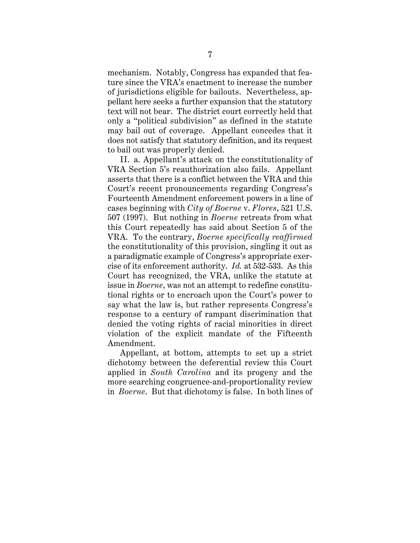mechanism. Notably, Congress has expanded that feature since the VRA's enactment to increase the number of jurisdictions eligible for bailouts. Nevertheless, appellant here seeks a further expansion that the statutory text will not bear. The district court correctly held that only a "political subdivision" as defined in the statute may bail out of coverage. Appellant concedes that it does not satisfy that statutory definition, and its request to bail out was properly denied.

II. a. Appellant's attack on the constitutionality of VRA Section 5's reauthorization also fails. Appellant asserts that there is a conflict between the VRA and this Court's recent pronouncements regarding Congress's Fourteenth Amendment enforcement powers in a line of cases beginning with *City of Boerne* v. *Flores*, 521 U.S. 507 (1997). But nothing in *Boerne* retreats from what this Court repeatedly has said about Section 5 of the VRA. To the contrary, *Boerne specifically reaffirmed* the constitutionality of this provision, singling it out as a paradigmatic example of Congress's appropriate exercise of its enforcement authority. *Id.* at 532-533. As this Court has recognized, the VRA, unlike the statute at issue in *Boerne*, was not an attempt to redefine constitutional rights or to encroach upon the Court's power to say what the law is, but rather represents Congress's response to a century of rampant discrimination that denied the voting rights of racial minorities in direct violation of the explicit mandate of the Fifteenth Amendment.

Appellant, at bottom, attempts to set up a strict dichotomy between the deferential review this Court applied in *South Carolina* and its progeny and the more searching congruence-and-proportionality review in *Boerne*. But that dichotomy is false. In both lines of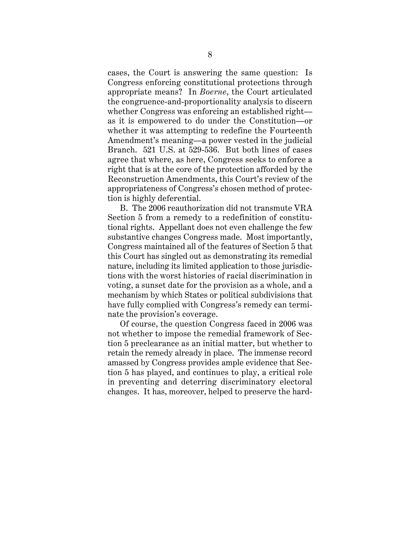cases, the Court is answering the same question: Is Congress enforcing constitutional protections through appropriate means? In *Boerne*, the Court articulated the congruence-and-proportionality analysis to discern whether Congress was enforcing an established right as it is empowered to do under the Constitution—or whether it was attempting to redefine the Fourteenth Amendment's meaning—a power vested in the judicial Branch. 521 U.S. at 529-536. But both lines of cases agree that where, as here, Congress seeks to enforce a right that is at the core of the protection afforded by the Reconstruction Amendments, this Court's review of the appropriateness of Congress's chosen method of protection is highly deferential.

B. The 2006 reauthorization did not transmute VRA Section 5 from a remedy to a redefinition of constitutional rights. Appellant does not even challenge the few substantive changes Congress made. Most importantly, Congress maintained all of the features of Section 5 that this Court has singled out as demonstrating its remedial nature, including its limited application to those jurisdictions with the worst histories of racial discrimination in voting, a sunset date for the provision as a whole, and a mechanism by which States or political subdivisions that have fully complied with Congress's remedy can terminate the provision's coverage.

Of course, the question Congress faced in 2006 was not whether to impose the remedial framework of Section 5 preclearance as an initial matter, but whether to retain the remedy already in place. The immense record amassed by Congress provides ample evidence that Section 5 has played, and continues to play, a critical role in preventing and deterring discriminatory electoral changes. It has, moreover, helped to preserve the hard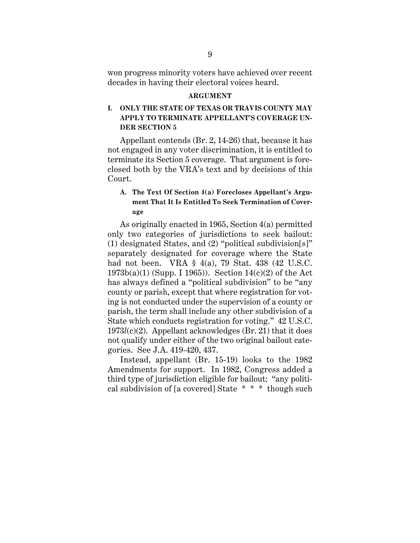won progress minority voters have achieved over recent decades in having their electoral voices heard.

#### **ARGUMENT**

# **I. ONLY THE STATE OF TEXAS OR TRAVIS COUNTY MAY APPLY TO TERMINATE APPELLANT'S COVERAGE UN-DER SECTION 5**

Appellant contends (Br. 2, 14-26) that, because it has not engaged in any voter discrimination, it is entitled to terminate its Section 5 coverage. That argument is foreclosed both by the VRA's text and by decisions of this Court.

# **A. The Text Of Section 4(a) Forecloses Appellant's Argument That It Is Entitled To Seek Termination of Coverage**

As originally enacted in 1965, Section 4(a) permitted only two categories of jurisdictions to seek bailout: (1) designated States, and (2) "political subdivision[s]" separately designated for coverage where the State had not been. VRA § 4(a), 79 Stat. 438 (42 U.S.C.  $1973b(a)(1)$  (Supp. I 1965)). Section 14(c)(2) of the Act has always defined a "political subdivision" to be "any county or parish, except that where registration for voting is not conducted under the supervision of a county or parish, the term shall include any other subdivision of a State which conducts registration for voting." 42 U.S.C. 1973*l*(c)(2). Appellant acknowledges (Br. 21) that it does not qualify under either of the two original bailout categories. See J.A. 419-420, 437.

Instead, appellant (Br. 15-19) looks to the 1982 Amendments for support. In 1982, Congress added a third type of jurisdiction eligible for bailout: "any political subdivision of [a covered] State \* \* \* though such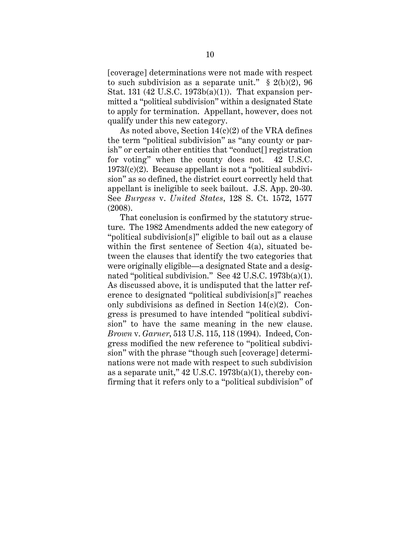[coverage] determinations were not made with respect to such subdivision as a separate unit."  $\S$  2(b)(2), 96 Stat. 131 (42 U.S.C. 1973b(a)(1)). That expansion permitted a "political subdivision" within a designated State to apply for termination. Appellant, however, does not qualify under this new category.

As noted above, Section  $14(c)(2)$  of the VRA defines the term "political subdivision" as "any county or parish" or certain other entities that "conduct[] registration for voting" when the county does not. 42 U.S.C. 1973*l*(c)(2). Because appellant is not a "political subdivision" as so defined, the district court correctly held that appellant is ineligible to seek bailout. J.S. App. 20-30. See *Burgess* v. *United States*, 128 S. Ct. 1572, 1577 (2008).

That conclusion is confirmed by the statutory structure. The 1982 Amendments added the new category of "political subdivision[s]" eligible to bail out as a clause within the first sentence of Section 4(a), situated between the clauses that identify the two categories that were originally eligible—a designated State and a designated "political subdivision." See 42 U.S.C. 1973b(a)(1). As discussed above, it is undisputed that the latter reference to designated "political subdivision[s]" reaches only subdivisions as defined in Section  $14(c)(2)$ . Congress is presumed to have intended "political subdivision" to have the same meaning in the new clause. *Brown* v. *Garner*, 513 U.S. 115, 118 (1994). Indeed, Congress modified the new reference to "political subdivision" with the phrase "though such [coverage] determinations were not made with respect to such subdivision as a separate unit,"  $42 \text{ U.S.C. } 1973b(a)(1)$ , thereby confirming that it refers only to a "political subdivision" of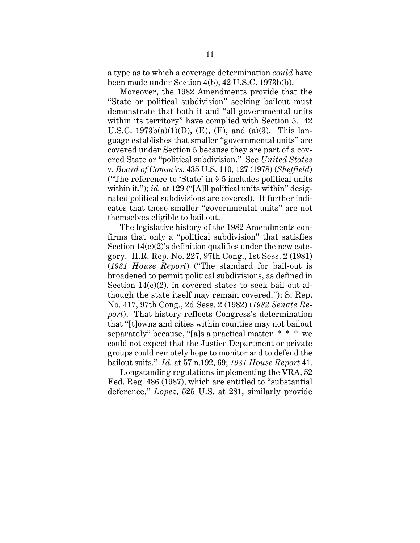a type as to which a coverage determination *could* have been made under Section 4(b), 42 U.S.C. 1973b(b).

Moreover, the 1982 Amendments provide that the "State or political subdivision" seeking bailout must demonstrate that both it and "all governmental units within its territory" have complied with Section 5. 42 U.S.C.  $1973b(a)(1)(D)$ , (E), (F), and (a)(3). This language establishes that smaller "governmental units" are covered under Section 5 because they are part of a covered State or "political subdivision." See *United States* v. *Board of Comm'rs*, 435 U.S. 110, 127 (1978) (*Sheffield*) ("The reference to 'State' in § 5 includes political units within it."); *id.* at 129 ("[A]ll political units within" designated political subdivisions are covered). It further indicates that those smaller "governmental units" are not themselves eligible to bail out.

The legislative history of the 1982 Amendments confirms that only a "political subdivision" that satisfies Section  $14(c)(2)$ 's definition qualifies under the new category. H.R. Rep. No. 227, 97th Cong., 1st Sess. 2 (1981) (*1981 House Report*) ("The standard for bail-out is broadened to permit political subdivisions, as defined in Section  $14(c)(2)$ , in covered states to seek bail out although the state itself may remain covered."); S. Rep. No. 417, 97th Cong., 2d Sess. 2 (1982) (*1982 Senate Report*). That history reflects Congress's determination that "[t]owns and cities within counties may not bailout separately" because, "[a]s a practical matter \* \* \* we could not expect that the Justice Department or private groups could remotely hope to monitor and to defend the bailout suits." *Id.* at 57 n.192, 69; *1981 House Report* 41.

Longstanding regulations implementing the VRA, 52 Fed. Reg. 486 (1987), which are entitled to "substantial deference," *Lopez*, 525 U.S. at 281, similarly provide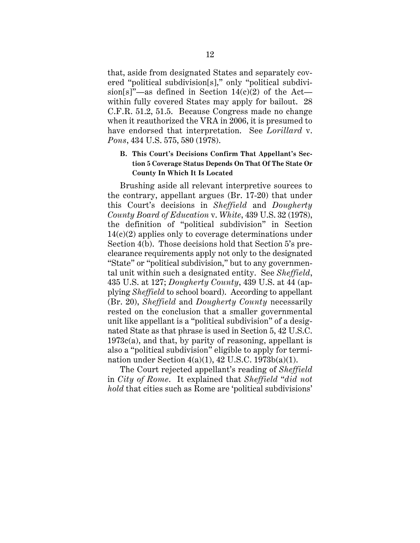that, aside from designated States and separately covered "political subdivision[s]," only "political subdivision[s]"—as defined in Section  $14(c)(2)$  of the Act within fully covered States may apply for bailout. 28 C.F.R. 51.2, 51.5. Because Congress made no change when it reauthorized the VRA in 2006, it is presumed to have endorsed that interpretation. See *Lorillard* v. *Pons*, 434 U.S. 575, 580 (1978).

## **B. This Court's Decisions Confirm That Appellant's Section 5 Coverage Status Depends On That Of The State Or County In Which It Is Located**

Brushing aside all relevant interpretive sources to the contrary, appellant argues (Br. 17-20) that under this Court's decisions in *Sheffield* and *Dougherty County Board of Education* v. *White*, 439 U.S. 32 (1978), the definition of "political subdivision" in Section 14(c)(2) applies only to coverage determinations under Section 4(b). Those decisions hold that Section 5's preclearance requirements apply not only to the designated "State" or "political subdivision," but to any governmental unit within such a designated entity. See *Sheffield*, 435 U.S. at 127; *Dougherty County*, 439 U.S. at 44 (applying *Sheffield* to school board). According to appellant (Br. 20), *Sheffield* and *Dougherty County* necessarily rested on the conclusion that a smaller governmental unit like appellant is a "political subdivision" of a designated State as that phrase is used in Section 5, 42 U.S.C. 1973c(a), and that, by parity of reasoning, appellant is also a "political subdivision" eligible to apply for termination under Section  $4(a)(1)$ ,  $42$  U.S.C.  $1973b(a)(1)$ .

The Court rejected appellant's reading of *Sheffield* in *City of Rome*. It explained that *Sheffield* "*did not hold* that cities such as Rome are 'political subdivisions'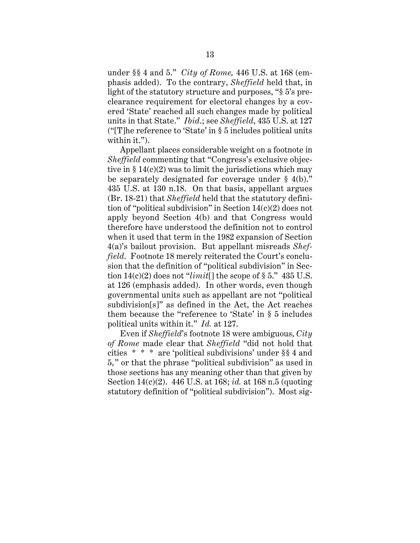under §§ 4 and 5." *City of Rome,* 446 U.S. at 168 (emphasis added). To the contrary, *Sheffield* held that, in light of the statutory structure and purposes, "§ 5's preclearance requirement for electoral changes by a covered 'State' reached all such changes made by political units in that State." *Ibid*.; see *Sheffield*, 435 U.S. at 127 ("[T]he reference to 'State' in § 5 includes political units within it.").

Appellant places considerable weight on a footnote in *Sheffield* commenting that "Congress's exclusive objective in  $\S 14(c)(2)$  was to limit the jurisdictions which may be separately designated for coverage under § 4(b)." 435 U.S. at 130 n.18. On that basis, appellant argues (Br. 18-21) that *Sheffield* held that the statutory definition of "political subdivision" in Section 14(c)(2) does not apply beyond Section 4(b) and that Congress would therefore have understood the definition not to control when it used that term in the 1982 expansion of Section 4(a)'s bailout provision. But appellant misreads *Sheffield*. Footnote 18 merely reiterated the Court's conclusion that the definition of "political subdivision" in Section  $14(c)(2)$  does not "*limit*[] the scope of § 5."  $435$  U.S. at 126 (emphasis added). In other words, even though governmental units such as appellant are not "political subdivision[s]" as defined in the Act, the Act reaches them because the "reference to 'State' in § 5 includes political units within it." *Id.* at 127.

Even if *Sheffield*'s footnote 18 were ambiguous, *City of Rome* made clear that *Sheffield* "did not hold that cities \* \* \* are 'political subdivisions' under §§ 4 and 5," or that the phrase "political subdivision" as used in those sections has any meaning other than that given by Section 14(c)(2). 446 U.S. at 168; *id.* at 168 n.5 (quoting statutory definition of "political subdivision"). Most sig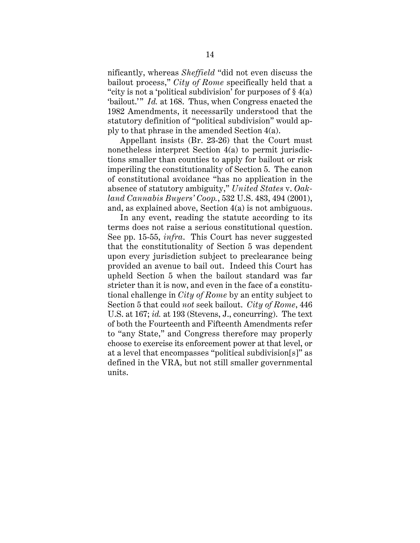nificantly, whereas *Sheffield* "did not even discuss the bailout process," *City of Rome* specifically held that a "city is not a 'political subdivision' for purposes of  $\S 4(a)$ 'bailout.'" *Id.* at 168. Thus, when Congress enacted the 1982 Amendments, it necessarily understood that the statutory definition of "political subdivision" would apply to that phrase in the amended Section 4(a).

Appellant insists (Br. 23-26) that the Court must nonetheless interpret Section 4(a) to permit jurisdictions smaller than counties to apply for bailout or risk imperiling the constitutionality of Section 5. The canon of constitutional avoidance "has no application in the absence of statutory ambiguity," *United States* v. *Oakland Cannabis Buyers' Coop.*, 532 U.S. 483, 494 (2001), and, as explained above, Section 4(a) is not ambiguous.

In any event, reading the statute according to its terms does not raise a serious constitutional question. See pp. 15-55, *infra*. This Court has never suggested that the constitutionality of Section 5 was dependent upon every jurisdiction subject to preclearance being provided an avenue to bail out. Indeed this Court has upheld Section 5 when the bailout standard was far stricter than it is now, and even in the face of a constitutional challenge in *City of Rome* by an entity subject to Section 5 that could *not* seek bailout. *City of Rome*, 446 U.S. at 167; *id.* at 193 (Stevens, J., concurring). The text of both the Fourteenth and Fifteenth Amendments refer to "any State," and Congress therefore may properly choose to exercise its enforcement power at that level, or at a level that encompasses "political subdivision[s]" as defined in the VRA, but not still smaller governmental units.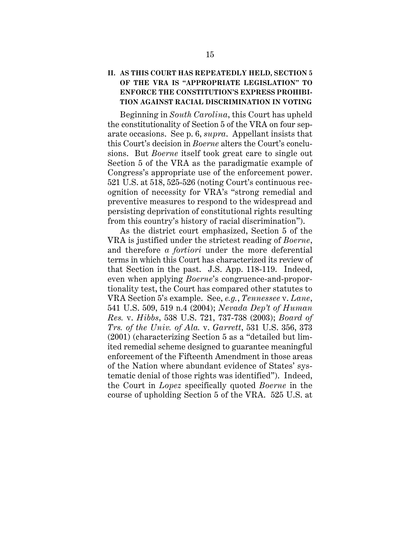# **II. AS THIS COURT HAS REPEATEDLY HELD, SECTION 5 OF THE VRA IS "APPROPRIATE LEGISLATION" TO ENFORCE THE CONSTITUTION'S EXPRESS PROHIBI-TION AGAINST RACIAL DISCRIMINATION IN VOTING**

Beginning in *South Carolina*, this Court has upheld the constitutionality of Section 5 of the VRA on four separate occasions. See p. 6, *supra*. Appellant insists that this Court's decision in *Boerne* alters the Court's conclusions. But *Boerne* itself took great care to single out Section 5 of the VRA as the paradigmatic example of Congress's appropriate use of the enforcement power. 521 U.S. at 518, 525-526 (noting Court's continuous recognition of necessity for VRA's "strong remedial and preventive measures to respond to the widespread and persisting deprivation of constitutional rights resulting from this country's history of racial discrimination").

As the district court emphasized, Section 5 of the VRA is justified under the strictest reading of *Boerne*, and therefore *a fortiori* under the more deferential terms in which this Court has characterized its review of that Section in the past. J.S. App. 118-119. Indeed, even when applying *Boerne*'s congruence-and-proportionality test, the Court has compared other statutes to VRA Section 5's example. See, *e.g.*, *Tennessee* v. *Lane*, 541 U.S. 509, 519 n.4 (2004); *Nevada Dep't of Human Res.* v. *Hibbs*, 538 U.S. 721, 737-738 (2003); *Board of Trs. of the Univ. of Ala.* v. *Garrett*, 531 U.S. 356, 373 (2001) (characterizing Section 5 as a "detailed but limited remedial scheme designed to guarantee meaningful enforcement of the Fifteenth Amendment in those areas of the Nation where abundant evidence of States' systematic denial of those rights was identified"). Indeed, the Court in *Lopez* specifically quoted *Boerne* in the course of upholding Section 5 of the VRA. 525 U.S. at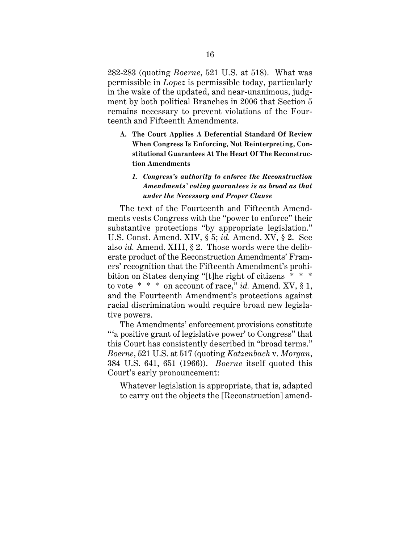282-283 (quoting *Boerne*, 521 U.S. at 518). What was permissible in *Lopez* is permissible today, particularly in the wake of the updated, and near-unanimous, judgment by both political Branches in 2006 that Section 5 remains necessary to prevent violations of the Fourteenth and Fifteenth Amendments.

**A. The Court Applies A Deferential Standard Of Review When Congress Is Enforcing, Not Reinterpreting, Constitutional Guarantees At The Heart Of The Reconstruction Amendments**

## *1. Congress's authority to enforce the Reconstruction Amendments' voting guarantees is as broad as that under the Necessary and Proper Clause*

The text of the Fourteenth and Fifteenth Amendments vests Congress with the "power to enforce" their substantive protections "by appropriate legislation." U.S. Const. Amend. XIV, § 5; *id.* Amend. XV, § 2. See also *id.* Amend. XIII, § 2. Those words were the deliberate product of the Reconstruction Amendments' Framers' recognition that the Fifteenth Amendment's prohibition on States denying "[t]he right of citizens \* \* \* to vote \* \* \* on account of race," *id.* Amend. XV, § 1, and the Fourteenth Amendment's protections against racial discrimination would require broad new legislative powers.

The Amendments' enforcement provisions constitute "'a positive grant of legislative power' to Congress" that this Court has consistently described in "broad terms." *Boerne*, 521 U.S. at 517 (quoting *Katzenbach* v. *Morgan*, 384 U.S. 641, 651 (1966)). *Boerne* itself quoted this Court's early pronouncement:

Whatever legislation is appropriate, that is, adapted to carry out the objects the [Reconstruction] amend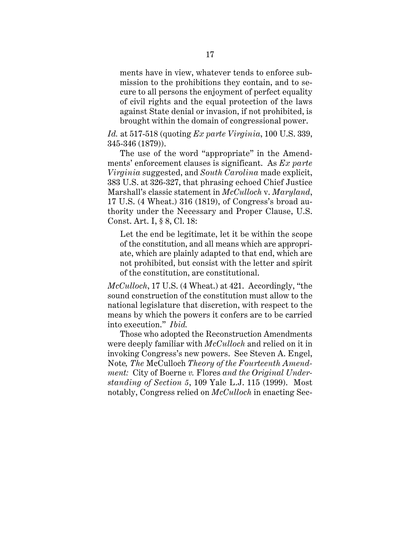ments have in view, whatever tends to enforce submission to the prohibitions they contain, and to secure to all persons the enjoyment of perfect equality of civil rights and the equal protection of the laws against State denial or invasion, if not prohibited, is brought within the domain of congressional power.

*Id.* at 517-518 (quoting *Ex parte Virginia*, 100 U.S. 339, 345-346 (1879)).

The use of the word "appropriate" in the Amendments' enforcement clauses is significant. As *Ex parte Virginia* suggested, and *South Carolina* made explicit, 383 U.S. at 326-327, that phrasing echoed Chief Justice Marshall's classic statement in *McCulloch* v. *Maryland*, 17 U.S. (4 Wheat.) 316 (1819), of Congress's broad authority under the Necessary and Proper Clause, U.S. Const. Art. I, § 8, Cl. 18:

Let the end be legitimate, let it be within the scope of the constitution, and all means which are appropriate, which are plainly adapted to that end, which are not prohibited, but consist with the letter and spirit of the constitution, are constitutional.

*McCulloch*, 17 U.S. (4 Wheat.) at 421. Accordingly, "the sound construction of the constitution must allow to the national legislature that discretion, with respect to the means by which the powers it confers are to be carried into execution." *Ibid.*

Those who adopted the Reconstruction Amendments were deeply familiar with *McCulloch* and relied on it in invoking Congress's new powers. See Steven A. Engel, Note*, The* McCulloch *Theory of the Fourteenth Amendment:* City of Boerne *v.* Flores *and the Original Understanding of Section 5*, 109 Yale L.J. 115 (1999). Most notably, Congress relied on *McCulloch* in enacting Sec-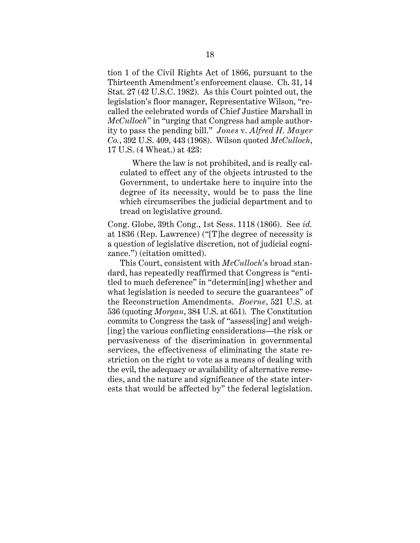tion 1 of the Civil Rights Act of 1866, pursuant to the Thirteenth Amendment's enforcement clause. Ch. 31, 14 Stat. 27 (42 U.S.C. 1982). As this Court pointed out, the legislation's floor manager, Representative Wilson, "recalled the celebrated words of Chief Justice Marshall in *McCulloch*" in "urging that Congress had ample authority to pass the pending bill." *Jones* v. *Alfred H. Mayer Co.*, 392 U.S. 409, 443 (1968). Wilson quoted *McCulloch*, 17 U.S. (4 Wheat.) at 423:

Where the law is not prohibited, and is really calculated to effect any of the objects intrusted to the Government, to undertake here to inquire into the degree of its necessity, would be to pass the line which circumscribes the judicial department and to tread on legislative ground.

Cong. Globe, 39th Cong., 1st Sess. 1118 (1866). See *id.* at 1836 (Rep. Lawrence) ("[T]he degree of necessity is a question of legislative discretion, not of judicial cognizance.") (citation omitted).

This Court, consistent with *McCulloch*'s broad standard, has repeatedly reaffirmed that Congress is "entitled to much deference" in "determin[ing] whether and what legislation is needed to secure the guarantees" of the Reconstruction Amendments. *Boerne*, 521 U.S. at 536 (quoting *Morgan*, 384 U.S. at 651). The Constitution commits to Congress the task of "assess[ing] and weigh- [ing] the various conflicting considerations—the risk or pervasiveness of the discrimination in governmental services, the effectiveness of eliminating the state restriction on the right to vote as a means of dealing with the evil, the adequacy or availability of alternative remedies, and the nature and significance of the state interests that would be affected by" the federal legislation.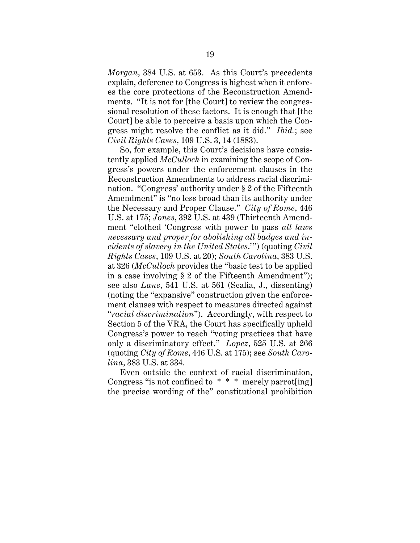*Morgan*, 384 U.S. at 653. As this Court's precedents explain, deference to Congress is highest when it enforces the core protections of the Reconstruction Amendments. "It is not for [the Court] to review the congressional resolution of these factors. It is enough that [the Court] be able to perceive a basis upon which the Congress might resolve the conflict as it did." *Ibid.*; see *Civil Rights Cases*, 109 U.S. 3, 14 (1883).

So, for example, this Court's decisions have consistently applied *McCulloch* in examining the scope of Congress's powers under the enforcement clauses in the Reconstruction Amendments to address racial discrimination. "Congress' authority under § 2 of the Fifteenth Amendment" is "no less broad than its authority under the Necessary and Proper Clause." *City of Rome*, 446 U.S. at 175; *Jones*, 392 U.S. at 439 (Thirteenth Amendment "clothed 'Congress with power to pass *all laws necessary and proper for abolishing all badges and incidents of slavery in the United States*.'") (quoting *Civil Rights Cases*, 109 U.S. at 20); *South Carolina*, 383 U.S. at 326 (*McCulloch* provides the "basic test to be applied in a case involving  $\S 2$  of the Fifteenth Amendment"); see also *Lane*, 541 U.S. at 561 (Scalia, J., dissenting) (noting the "expansive" construction given the enforcement clauses with respect to measures directed against "*racial discrimination*"). Accordingly, with respect to Section 5 of the VRA, the Court has specifically upheld Congress's power to reach "voting practices that have only a discriminatory effect." *Lopez*, 525 U.S. at 266 (quoting *City of Rome*, 446 U.S. at 175); see *South Carolina*, 383 U.S. at 334.

Even outside the context of racial discrimination, Congress "is not confined to  $* * *$  merely parrot[ing] the precise wording of the" constitutional prohibition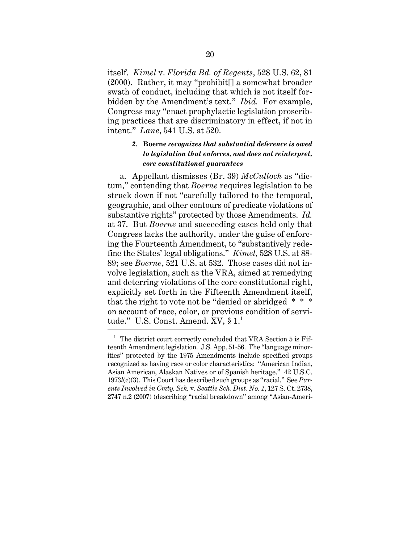itself. *Kimel* v. *Florida Bd. of Regents*, 528 U.S. 62, 81 (2000). Rather, it may "prohibit[] a somewhat broader swath of conduct, including that which is not itself forbidden by the Amendment's text." *Ibid.* For example, Congress may "enact prophylactic legislation proscribing practices that are discriminatory in effect, if not in intent." *Lane*, 541 U.S. at 520.

## *2.* **Boerne** *recognizes that substantial deference is owed to legislation that enforces, and does not reinterpret, core constitutional guarantees*

a. Appellant dismisses (Br. 39) *McCulloch* as "dictum," contending that *Boerne* requires legislation to be struck down if not "carefully tailored to the temporal, geographic, and other contours of predicate violations of substantive rights" protected by those Amendments. *Id.* at 37. But *Boerne* and succeeding cases held only that Congress lacks the authority, under the guise of enforcing the Fourteenth Amendment, to "substantively redefine the States' legal obligations." *Kimel*, 528 U.S. at 88- 89; see *Boerne*, 521 U.S. at 532. Those cases did not involve legislation, such as the VRA, aimed at remedying and deterring violations of the core constitutional right, explicitly set forth in the Fifteenth Amendment itself, that the right to vote not be "denied or abridged  $* * *$ on account of race, color, or previous condition of servitude." U.S. Const. Amend. XV, § 1.<sup>1</sup>

 $1$  The district court correctly concluded that VRA Section 5 is Fifteenth Amendment legislation. J.S. App. 51-56. The "language minorities" protected by the 1975 Amendments include specified groups recognized as having race or color characteristics: "American Indian, Asian American, Alaskan Natives or of Spanish heritage." 42 U.S.C. 1973*l*(c)(3). This Court has described such groups as "racial." See *Parents Involved in Cmty. Sch.* v. *Seattle Sch. Dist. No. 1*, 127 S. Ct. 2738, 2747 n.2 (2007) (describing "racial breakdown" among "Asian-Ameri-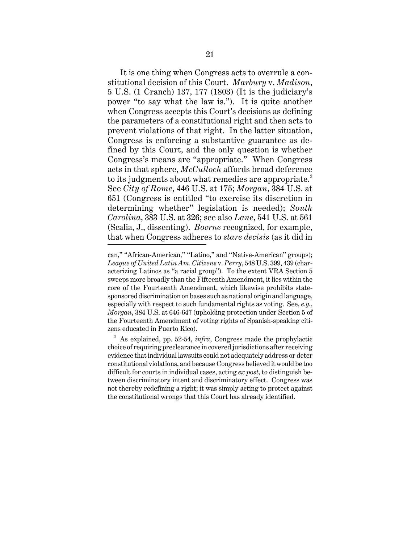It is one thing when Congress acts to overrule a constitutional decision of this Court. *Marbury* v. *Madison*, 5 U.S. (1 Cranch) 137, 177 (1803) (It is the judiciary's power "to say what the law is."). It is quite another when Congress accepts this Court's decisions as defining the parameters of a constitutional right and then acts to prevent violations of that right. In the latter situation, Congress is enforcing a substantive guarantee as defined by this Court, and the only question is whether Congress's means are "appropriate." When Congress acts in that sphere, *McCulloch* affords broad deference to its judgments about what remedies are appropriate. $^2$ See *City of Rome*, 446 U.S. at 175; *Morgan*, 384 U.S. at 651 (Congress is entitled "to exercise its discretion in determining whether" legislation is needed); *South Carolina*, 383 U.S. at 326; see also *Lane*, 541 U.S. at 561 (Scalia, J., dissenting). *Boerne* recognized, for example, that when Congress adheres to *stare decisis* (as it did in

can," "African-American," "Latino," and "Native-American" groups); *League of United Latin Am. Citizens* v. *Perry*, 548 U.S. 399, 439 (characterizing Latinos as "a racial group"). To the extent VRA Section 5 sweeps more broadly than the Fifteenth Amendment, it lies within the core of the Fourteenth Amendment, which likewise prohibits statesponsored discrimination on bases such as national origin and language, especially with respect to such fundamental rights as voting. See, *e.g.*, *Morgan*, 384 U.S. at 646-647 (upholding protection under Section 5 of the Fourteenth Amendment of voting rights of Spanish-speaking citizens educated in Puerto Rico).

<sup>2</sup> As explained, pp. 52-54, *infra*, Congress made the prophylactic choice of requiring preclearance in covered jurisdictions after receiving evidence that individual lawsuits could not adequately address or deter constitutional violations, and because Congress believed it would be too difficult for courts in individual cases, acting *ex post*, to distinguish between discriminatory intent and discriminatory effect. Congress was not thereby redefining a right; it was simply acting to protect against the constitutional wrongs that this Court has already identified.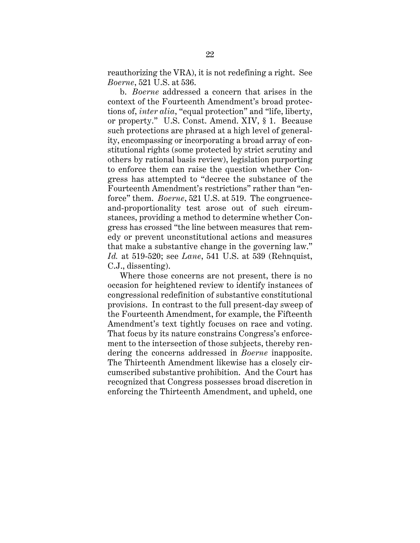reauthorizing the VRA), it is not redefining a right. See *Boerne*, 521 U.S. at 536.

b. *Boerne* addressed a concern that arises in the context of the Fourteenth Amendment's broad protections of, *inter alia*, "equal protection" and "life, liberty, or property." U.S. Const. Amend. XIV, § 1. Because such protections are phrased at a high level of generality, encompassing or incorporating a broad array of constitutional rights (some protected by strict scrutiny and others by rational basis review), legislation purporting to enforce them can raise the question whether Congress has attempted to "decree the substance of the Fourteenth Amendment's restrictions" rather than "enforce" them. *Boerne*, 521 U.S. at 519. The congruenceand-proportionality test arose out of such circumstances, providing a method to determine whether Congress has crossed "the line between measures that remedy or prevent unconstitutional actions and measures that make a substantive change in the governing law." *Id.* at 519-520; see *Lane*, 541 U.S. at 539 (Rehnquist, C.J., dissenting).

Where those concerns are not present, there is no occasion for heightened review to identify instances of congressional redefinition of substantive constitutional provisions. In contrast to the full present-day sweep of the Fourteenth Amendment, for example, the Fifteenth Amendment's text tightly focuses on race and voting. That focus by its nature constrains Congress's enforcement to the intersection of those subjects, thereby rendering the concerns addressed in *Boerne* inapposite. The Thirteenth Amendment likewise has a closely circumscribed substantive prohibition. And the Court has recognized that Congress possesses broad discretion in enforcing the Thirteenth Amendment, and upheld, one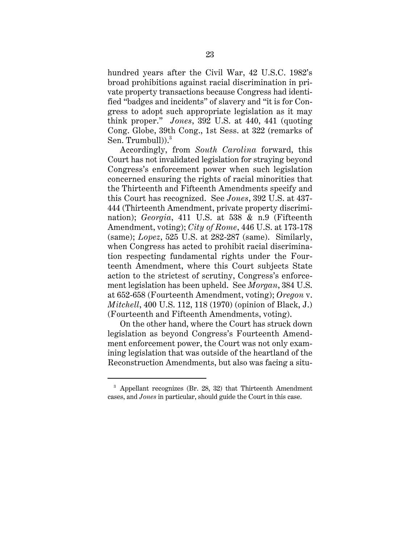hundred years after the Civil War, 42 U.S.C. 1982's broad prohibitions against racial discrimination in private property transactions because Congress had identified "badges and incidents" of slavery and "it is for Congress to adopt such appropriate legislation as it may think proper." *Jones*, 392 U.S. at 440, 441 (quoting Cong. Globe, 39th Cong., 1st Sess. at 322 (remarks of Sen. Trumbull $)$ ).<sup>3</sup>

Accordingly, from *South Carolina* forward, this Court has not invalidated legislation for straying beyond Congress's enforcement power when such legislation concerned ensuring the rights of racial minorities that the Thirteenth and Fifteenth Amendments specify and this Court has recognized. See *Jones*, 392 U.S. at 437- 444 (Thirteenth Amendment, private property discrimination); *Georgia*, 411 U.S. at 538 & n.9 (Fifteenth Amendment, voting); *City of Rome*, 446 U.S. at 173-178 (same); *Lopez*, 525 U.S. at 282-287 (same). Similarly, when Congress has acted to prohibit racial discrimination respecting fundamental rights under the Fourteenth Amendment, where this Court subjects State action to the strictest of scrutiny, Congress's enforcement legislation has been upheld. See *Morgan*, 384 U.S. at 652-658 (Fourteenth Amendment, voting); *Oregon* v. *Mitchell*, 400 U.S. 112, 118 (1970) (opinion of Black, J.) (Fourteenth and Fifteenth Amendments, voting).

On the other hand, where the Court has struck down legislation as beyond Congress's Fourteenth Amendment enforcement power, the Court was not only examining legislation that was outside of the heartland of the Reconstruction Amendments, but also was facing a situ-

 $3$  Appellant recognizes (Br. 28, 32) that Thirteenth Amendment cases, and *Jones* in particular, should guide the Court in this case.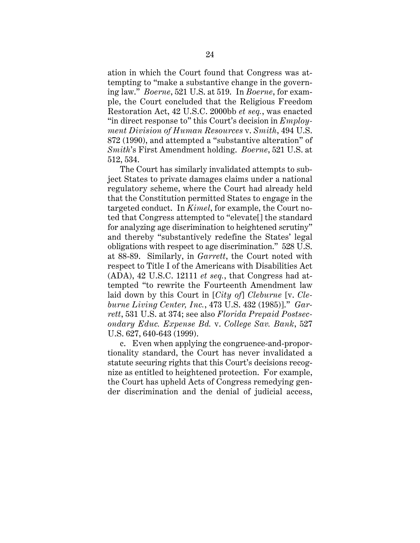ation in which the Court found that Congress was attempting to "make a substantive change in the governing law." *Boerne*, 521 U.S. at 519. In *Boerne*, for example, the Court concluded that the Religious Freedom Restoration Act, 42 U.S.C. 2000bb *et seq.*, was enacted "in direct response to" this Court's decision in *Employment Division of Human Resources* v. *Smith*, 494 U.S. 872 (1990), and attempted a "substantive alteration" of *Smith*'s First Amendment holding. *Boerne*, 521 U.S. at 512, 534.

The Court has similarly invalidated attempts to subject States to private damages claims under a national regulatory scheme, where the Court had already held that the Constitution permitted States to engage in the targeted conduct. In *Kimel*, for example, the Court noted that Congress attempted to "elevate[] the standard for analyzing age discrimination to heightened scrutiny" and thereby "substantively redefine the States' legal obligations with respect to age discrimination." 528 U.S. at 88-89. Similarly, in *Garrett*, the Court noted with respect to Title I of the Americans with Disabilities Act (ADA), 42 U.S.C. 12111 *et seq.*, that Congress had attempted "to rewrite the Fourteenth Amendment law laid down by this Court in [*City of*] *Cleburne* [v. *Cleburne Living Center, Inc.*, 473 U.S. 432 (1985)]." *Garrett*, 531 U.S. at 374; see also *Florida Prepaid Postsecondary Educ. Expense Bd.* v. *College Sav. Bank*, 527 U.S. 627, 640-643 (1999).

c. Even when applying the congruence-and-proportionality standard, the Court has never invalidated a statute securing rights that this Court's decisions recognize as entitled to heightened protection. For example, the Court has upheld Acts of Congress remedying gender discrimination and the denial of judicial access,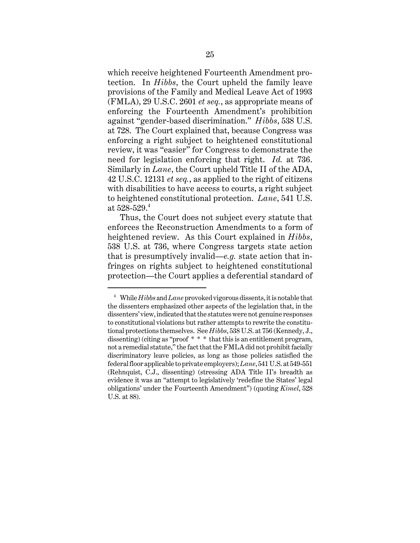which receive heightened Fourteenth Amendment protection. In *Hibbs*, the Court upheld the family leave provisions of the Family and Medical Leave Act of 1993 (FMLA), 29 U.S.C. 2601 *et seq.*, as appropriate means of enforcing the Fourteenth Amendment's prohibition against "gender-based discrimination." *Hibbs*, 538 U.S. at 728. The Court explained that, because Congress was enforcing a right subject to heightened constitutional review, it was "easier" for Congress to demonstrate the need for legislation enforcing that right. *Id.* at 736. Similarly in *Lane*, the Court upheld Title II of the ADA, 42 U.S.C. 12131 *et seq.*, as applied to the right of citizens with disabilities to have access to courts, a right subject to heightened constitutional protection. *Lane*, 541 U.S. at  $528 - 529.4$ 

Thus, the Court does not subject every statute that enforces the Reconstruction Amendments to a form of heightened review. As this Court explained in *Hibbs*, 538 U.S. at 736, where Congress targets state action that is presumptively invalid—*e.g.* state action that infringes on rights subject to heightened constitutional protection—the Court applies a deferential standard of

<sup>4</sup> While *Hibbs* and *Lane* provoked vigorous dissents, it is notable that the dissenters emphasized other aspects of the legislation that, in the dissenters' view, indicated that the statutes were not genuine responses to constitutional violations but rather attempts to rewrite the constitutional protections themselves. See *Hibbs*, 538 U.S. at 756 (Kennedy, J., dissenting) (citing as "proof \* \* \* that this is an entitlement program, not a remedial statute," the fact that the FMLA did not prohibit facially discriminatory leave policies, as long as those policies satisfied the federal floor applicable to private employers); *Lane*, 541 U.S. at 549-551 (Rehnquist, C.J., dissenting) (stressing ADA Title II's breadth as evidence it was an "attempt to legislatively 'redefine the States' legal obligations' under the Fourteenth Amendment") (quoting *Kimel*, 528 U.S. at 88).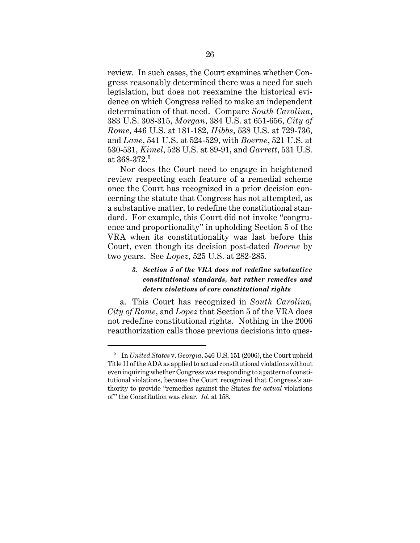review. In such cases, the Court examines whether Congress reasonably determined there was a need for such legislation, but does not reexamine the historical evidence on which Congress relied to make an independent determination of that need. Compare *South Carolina*, 383 U.S. 308-315, *Morgan*, 384 U.S. at 651-656, *City of Rome*, 446 U.S. at 181-182, *Hibbs*, 538 U.S. at 729-736, and *Lane*, 541 U.S. at 524-529, with *Boerne*, 521 U.S. at 530-531, *Kimel*, 528 U.S. at 89-91, and *Garrett*, 531 U.S. at 368-372.<sup>5</sup>

Nor does the Court need to engage in heightened review respecting each feature of a remedial scheme once the Court has recognized in a prior decision concerning the statute that Congress has not attempted, as a substantive matter, to redefine the constitutional standard. For example, this Court did not invoke "congruence and proportionality" in upholding Section 5 of the VRA when its constitutionality was last before this Court, even though its decision post-dated *Boerne* by two years. See *Lopez*, 525 U.S. at 282-285.

# *3. Section 5 of the VRA does not redefine substantive constitutional standards, but rather remedies and deters violations of core constitutional rights*

a. This Court has recognized in *South Carolina, City of Rome*, and *Lopez* that Section 5 of the VRA does not redefine constitutional rights. Nothing in the 2006 reauthorization calls those previous decisions into ques-

<sup>5</sup> In *United States* v. *Georgia*, 546 U.S. 151 (2006), the Court upheld Title II of the ADA as applied to actual constitutional violations without even inquiring whether Congress was responding to a pattern of constitutional violations, because the Court recognized that Congress's authority to provide "remedies against the States for *actual* violations of" the Constitution was clear. *Id.* at 158.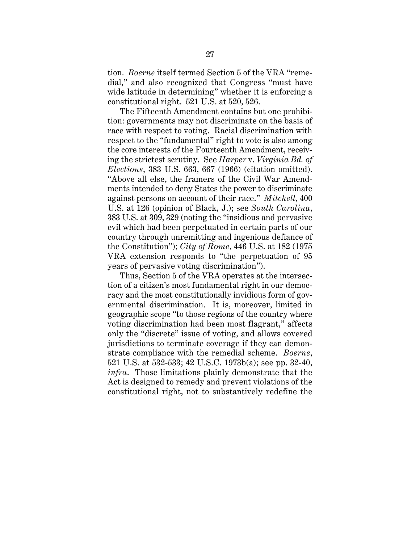tion. *Boerne* itself termed Section 5 of the VRA "remedial," and also recognized that Congress "must have wide latitude in determining" whether it is enforcing a constitutional right. 521 U.S. at 520, 526.

The Fifteenth Amendment contains but one prohibition: governments may not discriminate on the basis of race with respect to voting. Racial discrimination with respect to the "fundamental" right to vote is also among the core interests of the Fourteenth Amendment, receiving the strictest scrutiny. See *Harper* v. *Virginia Bd. of Elections*, 383 U.S. 663, 667 (1966) (citation omitted). "Above all else, the framers of the Civil War Amendments intended to deny States the power to discriminate against persons on account of their race." *Mitchell*, 400 U.S. at 126 (opinion of Black, J.); see *South Carolina*, 383 U.S. at 309, 329 (noting the "insidious and pervasive evil which had been perpetuated in certain parts of our country through unremitting and ingenious defiance of the Constitution"); *City of Rome*, 446 U.S. at 182 (1975 VRA extension responds to "the perpetuation of 95 years of pervasive voting discrimination").

Thus, Section 5 of the VRA operates at the intersection of a citizen's most fundamental right in our democracy and the most constitutionally invidious form of governmental discrimination. It is, moreover, limited in geographic scope "to those regions of the country where voting discrimination had been most flagrant," affects only the "discrete" issue of voting, and allows covered jurisdictions to terminate coverage if they can demonstrate compliance with the remedial scheme. *Boerne*, 521 U.S. at 532-533; 42 U.S.C. 1973b(a); see pp. 32-40, *infra*. Those limitations plainly demonstrate that the Act is designed to remedy and prevent violations of the constitutional right, not to substantively redefine the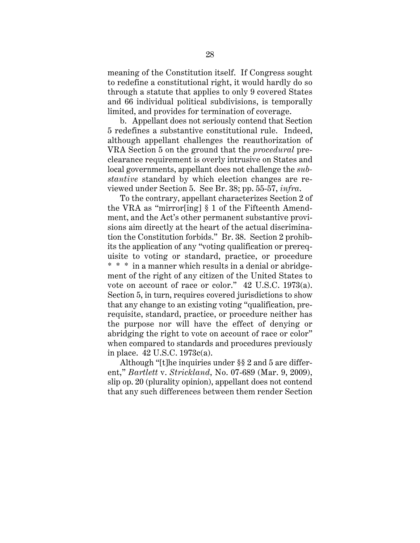meaning of the Constitution itself. If Congress sought to redefine a constitutional right, it would hardly do so through a statute that applies to only 9 covered States and 66 individual political subdivisions, is temporally limited, and provides for termination of coverage.

b. Appellant does not seriously contend that Section 5 redefines a substantive constitutional rule. Indeed, although appellant challenges the reauthorization of VRA Section 5 on the ground that the *procedural* preclearance requirement is overly intrusive on States and local governments, appellant does not challenge the *substantive* standard by which election changes are reviewed under Section 5. See Br. 38; pp. 55-57, *infra*.

To the contrary, appellant characterizes Section 2 of the VRA as "mirror[ing] § 1 of the Fifteenth Amendment, and the Act's other permanent substantive provisions aim directly at the heart of the actual discrimination the Constitution forbids." Br. 38. Section 2 prohibits the application of any "voting qualification or prerequisite to voting or standard, practice, or procedure \* \* \* in a manner which results in a denial or abridgement of the right of any citizen of the United States to vote on account of race or color." 42 U.S.C. 1973(a). Section 5, in turn, requires covered jurisdictions to show that any change to an existing voting "qualification, prerequisite, standard, practice, or procedure neither has the purpose nor will have the effect of denying or abridging the right to vote on account of race or color" when compared to standards and procedures previously in place. 42 U.S.C. 1973c(a).

Although "[t]he inquiries under §§ 2 and 5 are different," *Bartlett* v. *Strickland*, No. 07-689 (Mar. 9, 2009), slip op. 20 (plurality opinion), appellant does not contend that any such differences between them render Section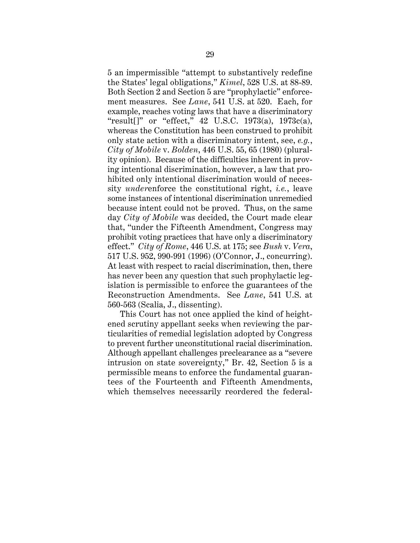5 an impermissible "attempt to substantively redefine the States' legal obligations," *Kimel*, 528 U.S. at 88-89. Both Section 2 and Section 5 are "prophylactic" enforcement measures. See *Lane*, 541 U.S. at 520. Each, for example, reaches voting laws that have a discriminatory "result[]" or "effect," 42 U.S.C. 1973(a), 1973c(a), whereas the Constitution has been construed to prohibit only state action with a discriminatory intent, see, *e.g.*, *City of Mobile* v. *Bolden*, 446 U.S. 55, 65 (1980) (plurality opinion). Because of the difficulties inherent in proving intentional discrimination, however, a law that prohibited only intentional discrimination would of necessity *under*enforce the constitutional right, *i.e.*, leave some instances of intentional discrimination unremedied because intent could not be proved. Thus, on the same day *City of Mobile* was decided, the Court made clear that, "under the Fifteenth Amendment, Congress may prohibit voting practices that have only a discriminatory effect." *City of Rome*, 446 U.S. at 175; see *Bush* v. *Vera*, 517 U.S. 952, 990-991 (1996) (O'Connor, J., concurring). At least with respect to racial discrimination, then, there has never been any question that such prophylactic legislation is permissible to enforce the guarantees of the Reconstruction Amendments. See *Lane*, 541 U.S. at 560-563 (Scalia, J., dissenting).

This Court has not once applied the kind of heightened scrutiny appellant seeks when reviewing the particularities of remedial legislation adopted by Congress to prevent further unconstitutional racial discrimination. Although appellant challenges preclearance as a "severe intrusion on state sovereignty," Br. 42, Section 5 is a permissible means to enforce the fundamental guarantees of the Fourteenth and Fifteenth Amendments, which themselves necessarily reordered the federal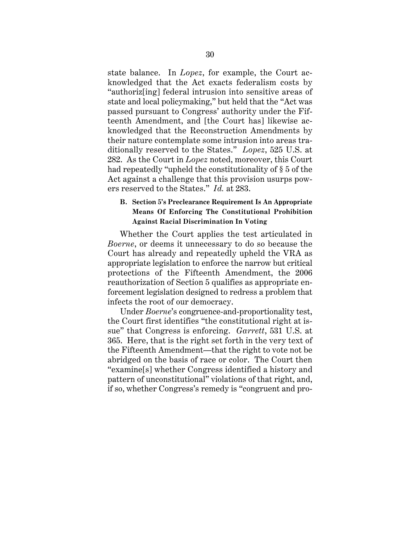state balance. In *Lopez*, for example, the Court acknowledged that the Act exacts federalism costs by "authoriz[ing] federal intrusion into sensitive areas of state and local policymaking," but held that the "Act was passed pursuant to Congress' authority under the Fifteenth Amendment, and [the Court has] likewise acknowledged that the Reconstruction Amendments by their nature contemplate some intrusion into areas traditionally reserved to the States." *Lopez*, 525 U.S. at 282. As the Court in *Lopez* noted, moreover, this Court had repeatedly "upheld the constitutionality of § 5 of the Act against a challenge that this provision usurps powers reserved to the States." *Id.* at 283.

## **B. Section 5's Preclearance Requirement Is An Appropriate Means Of Enforcing The Constitutional Prohibition Against Racial Discrimination In Voting**

Whether the Court applies the test articulated in *Boerne*, or deems it unnecessary to do so because the Court has already and repeatedly upheld the VRA as appropriate legislation to enforce the narrow but critical protections of the Fifteenth Amendment, the 2006 reauthorization of Section 5 qualifies as appropriate enforcement legislation designed to redress a problem that infects the root of our democracy.

Under *Boerne*'s congruence-and-proportionality test, the Court first identifies "the constitutional right at issue" that Congress is enforcing. *Garrett*, 531 U.S. at 365. Here, that is the right set forth in the very text of the Fifteenth Amendment—that the right to vote not be abridged on the basis of race or color. The Court then "examine[s] whether Congress identified a history and pattern of unconstitutional" violations of that right, and, if so, whether Congress's remedy is "congruent and pro-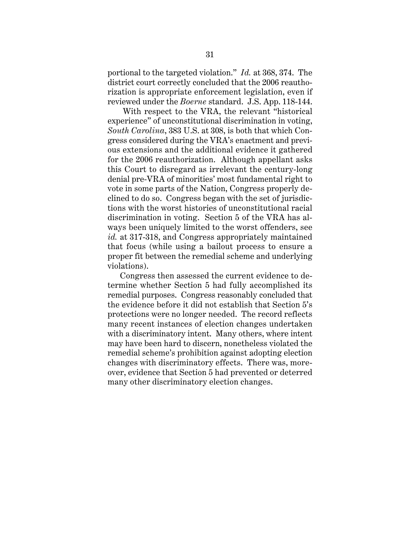portional to the targeted violation." *Id.* at 368, 374. The district court correctly concluded that the 2006 reauthorization is appropriate enforcement legislation, even if reviewed under the *Boerne* standard. J.S. App. 118-144.

 With respect to the VRA, the relevant "historical experience" of unconstitutional discrimination in voting, *South Carolina*, 383 U.S. at 308, is both that which Congress considered during the VRA's enactment and previous extensions and the additional evidence it gathered for the 2006 reauthorization. Although appellant asks this Court to disregard as irrelevant the century-long denial pre-VRA of minorities' most fundamental right to vote in some parts of the Nation, Congress properly declined to do so. Congress began with the set of jurisdictions with the worst histories of unconstitutional racial discrimination in voting. Section 5 of the VRA has always been uniquely limited to the worst offenders, see *id.* at 317-318, and Congress appropriately maintained that focus (while using a bailout process to ensure a proper fit between the remedial scheme and underlying violations).

Congress then assessed the current evidence to determine whether Section 5 had fully accomplished its remedial purposes. Congress reasonably concluded that the evidence before it did not establish that Section 5's protections were no longer needed. The record reflects many recent instances of election changes undertaken with a discriminatory intent. Many others, where intent may have been hard to discern, nonetheless violated the remedial scheme's prohibition against adopting election changes with discriminatory effects. There was, moreover, evidence that Section 5 had prevented or deterred many other discriminatory election changes.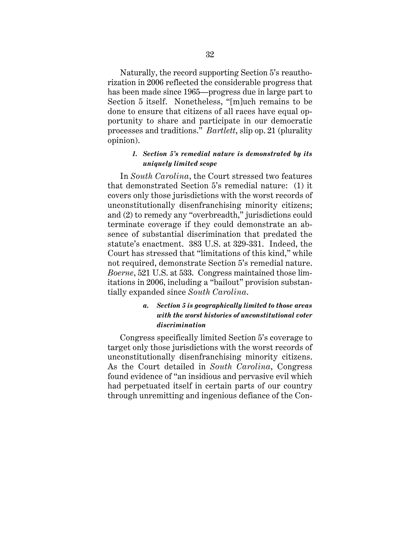Naturally, the record supporting Section 5's reauthorization in 2006 reflected the considerable progress that has been made since 1965—progress due in large part to Section 5 itself. Nonetheless, "[m]uch remains to be done to ensure that citizens of all races have equal opportunity to share and participate in our democratic processes and traditions." *Bartlett*, slip op. 21 (plurality opinion).

### *1. Section 5's remedial nature is demonstrated by its uniquely limited scope*

In *South Carolina*, the Court stressed two features that demonstrated Section 5's remedial nature: (1) it covers only those jurisdictions with the worst records of unconstitutionally disenfranchising minority citizens; and (2) to remedy any "overbreadth," jurisdictions could terminate coverage if they could demonstrate an absence of substantial discrimination that predated the statute's enactment. 383 U.S. at 329-331. Indeed, the Court has stressed that "limitations of this kind," while not required, demonstrate Section 5's remedial nature. *Boerne*, 521 U.S. at 533. Congress maintained those limitations in 2006, including a "bailout" provision substantially expanded since *South Carolina*.

## *a. Section 5 is geographically limited to those areas with the worst histories of unconstitutional voter discrimination*

Congress specifically limited Section 5's coverage to target only those jurisdictions with the worst records of unconstitutionally disenfranchising minority citizens. As the Court detailed in *South Carolina*, Congress found evidence of "an insidious and pervasive evil which had perpetuated itself in certain parts of our country through unremitting and ingenious defiance of the Con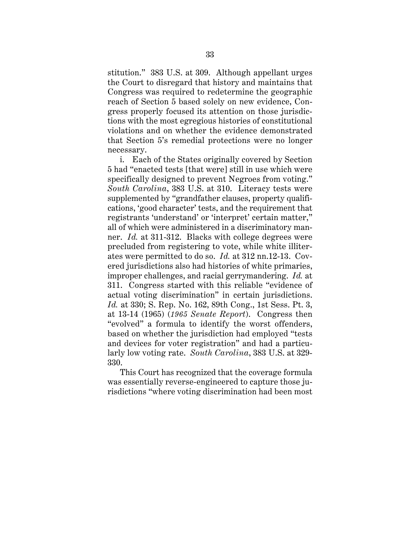stitution." 383 U.S. at 309. Although appellant urges the Court to disregard that history and maintains that Congress was required to redetermine the geographic reach of Section 5 based solely on new evidence, Congress properly focused its attention on those jurisdictions with the most egregious histories of constitutional violations and on whether the evidence demonstrated that Section 5's remedial protections were no longer necessary.

i. Each of the States originally covered by Section 5 had "enacted tests [that were] still in use which were specifically designed to prevent Negroes from voting." *South Carolina*, 383 U.S. at 310. Literacy tests were supplemented by "grandfather clauses, property qualifications, 'good character' tests, and the requirement that registrants 'understand' or 'interpret' certain matter," all of which were administered in a discriminatory manner. *Id.* at 311-312. Blacks with college degrees were precluded from registering to vote, while white illiterates were permitted to do so. *Id.* at 312 nn.12-13. Covered jurisdictions also had histories of white primaries, improper challenges, and racial gerrymandering. *Id.* at 311. Congress started with this reliable "evidence of actual voting discrimination" in certain jurisdictions. *Id.* at 330; S. Rep. No. 162, 89th Cong., 1st Sess. Pt. 3, at 13-14 (1965) (*1965 Senate Report*). Congress then "evolved" a formula to identify the worst offenders, based on whether the jurisdiction had employed "tests and devices for voter registration" and had a particularly low voting rate. *South Carolina*, 383 U.S. at 329- 330.

This Court has recognized that the coverage formula was essentially reverse-engineered to capture those jurisdictions "where voting discrimination had been most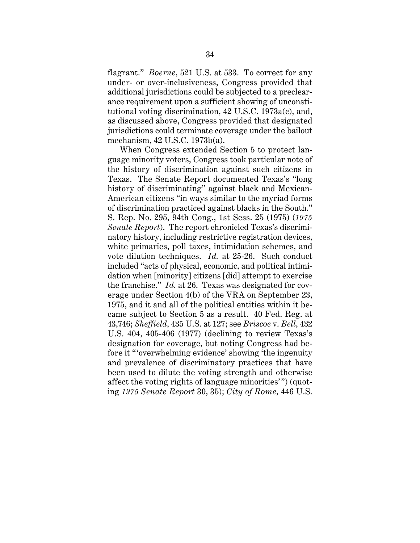flagrant." *Boerne*, 521 U.S. at 533. To correct for any under- or over-inclusiveness, Congress provided that additional jurisdictions could be subjected to a preclearance requirement upon a sufficient showing of unconstitutional voting discrimination, 42 U.S.C. 1973a(c), and, as discussed above, Congress provided that designated jurisdictions could terminate coverage under the bailout mechanism, 42 U.S.C. 1973b(a).

When Congress extended Section 5 to protect language minority voters, Congress took particular note of the history of discrimination against such citizens in Texas. The Senate Report documented Texas's "long history of discriminating" against black and Mexican-American citizens "in ways similar to the myriad forms of discrimination practiced against blacks in the South." S. Rep. No. 295, 94th Cong., 1st Sess. 25 (1975) (*1975 Senate Report*). The report chronicled Texas's discriminatory history, including restrictive registration devices, white primaries, poll taxes, intimidation schemes, and vote dilution techniques. *Id.* at 25-26. Such conduct included "acts of physical, economic, and political intimidation when [minority] citizens [did] attempt to exercise the franchise." *Id.* at 26. Texas was designated for coverage under Section 4(b) of the VRA on September 23, 1975, and it and all of the political entities within it became subject to Section 5 as a result. 40 Fed. Reg. at 43,746; *Sheffield*, 435 U.S. at 127; see *Briscoe* v. *Bell*, 432 U.S. 404, 405-406 (1977) (declining to review Texas's designation for coverage, but noting Congress had before it "'overwhelming evidence' showing 'the ingenuity and prevalence of discriminatory practices that have been used to dilute the voting strength and otherwise affect the voting rights of language minorities'") (quoting *1975 Senate Report* 30, 35); *City of Rome*, 446 U.S.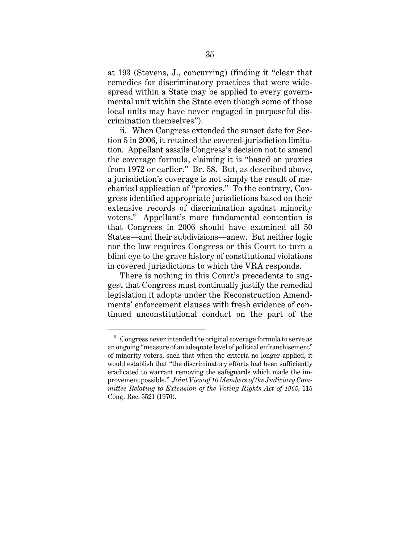at 193 (Stevens, J., concurring) (finding it "clear that remedies for discriminatory practices that were widespread within a State may be applied to every governmental unit within the State even though some of those local units may have never engaged in purposeful discrimination themselves").

ii. When Congress extended the sunset date for Section 5 in 2006, it retained the covered-jurisdiction limitation. Appellant assails Congress's decision not to amend the coverage formula, claiming it is "based on proxies from 1972 or earlier." Br. 58. But, as described above, a jurisdiction's coverage is not simply the result of mechanical application of "proxies." To the contrary, Congress identified appropriate jurisdictions based on their extensive records of discrimination against minority voters.<sup>6</sup> Appellant's more fundamental contention is that Congress in 2006 should have examined all 50 States—and their subdivisions—anew. But neither logic nor the law requires Congress or this Court to turn a blind eye to the grave history of constitutional violations in covered jurisdictions to which the VRA responds.

There is nothing in this Court's precedents to suggest that Congress must continually justify the remedial legislation it adopts under the Reconstruction Amendments' enforcement clauses with fresh evidence of continued unconstitutional conduct on the part of the

 $6$  Congress never intended the original coverage formula to serve as an ongoing "measure of an adequate level of political enfranchisement" of minority voters, such that when the criteria no longer applied, it would establish that "the discriminatory efforts had been sufficiently eradicated to warrant removing the safeguards which made the improvement possible." *Joint View of 10 Members of the Judiciary Committee Relating to Extension of the Voting Rights Act of 1965*, 115 Cong. Rec. 5521 (1970).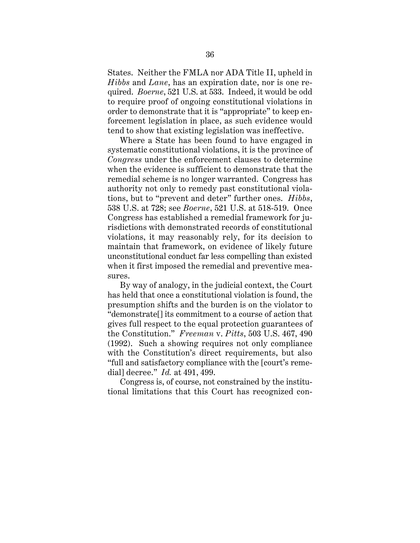States. Neither the FMLA nor ADA Title II, upheld in *Hibbs* and *Lane*, has an expiration date, nor is one required. *Boerne*, 521 U.S. at 533. Indeed, it would be odd to require proof of ongoing constitutional violations in order to demonstrate that it is "appropriate" to keep enforcement legislation in place, as such evidence would tend to show that existing legislation was ineffective.

Where a State has been found to have engaged in systematic constitutional violations, it is the province of *Congress* under the enforcement clauses to determine when the evidence is sufficient to demonstrate that the remedial scheme is no longer warranted. Congress has authority not only to remedy past constitutional violations, but to "prevent and deter" further ones. *Hibbs*, 538 U.S. at 728; see *Boerne*, 521 U.S. at 518-519. Once Congress has established a remedial framework for jurisdictions with demonstrated records of constitutional violations, it may reasonably rely, for its decision to maintain that framework, on evidence of likely future unconstitutional conduct far less compelling than existed when it first imposed the remedial and preventive measures.

By way of analogy, in the judicial context, the Court has held that once a constitutional violation is found, the presumption shifts and the burden is on the violator to "demonstrate[] its commitment to a course of action that gives full respect to the equal protection guarantees of the Constitution." *Freeman* v. *Pitts*, 503 U.S. 467, 490 (1992). Such a showing requires not only compliance with the Constitution's direct requirements, but also "full and satisfactory compliance with the [court's remedial] decree." *Id.* at 491, 499.

Congress is, of course, not constrained by the institutional limitations that this Court has recognized con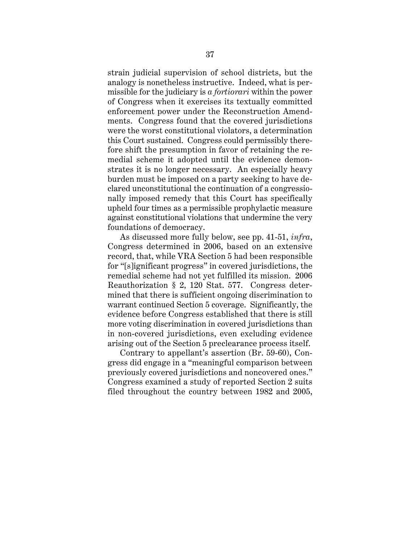strain judicial supervision of school districts, but the analogy is nonetheless instructive. Indeed, what is permissible for the judiciary is *a fortiorari* within the power of Congress when it exercises its textually committed enforcement power under the Reconstruction Amendments. Congress found that the covered jurisdictions were the worst constitutional violators, a determination this Court sustained. Congress could permissibly therefore shift the presumption in favor of retaining the remedial scheme it adopted until the evidence demonstrates it is no longer necessary. An especially heavy burden must be imposed on a party seeking to have declared unconstitutional the continuation of a congressionally imposed remedy that this Court has specifically upheld four times as a permissible prophylactic measure against constitutional violations that undermine the very foundations of democracy.

As discussed more fully below, see pp. 41-51, *infra*, Congress determined in 2006, based on an extensive record, that, while VRA Section 5 had been responsible for "[s]ignificant progress" in covered jurisdictions, the remedial scheme had not yet fulfilled its mission. 2006 Reauthorization § 2, 120 Stat. 577. Congress determined that there is sufficient ongoing discrimination to warrant continued Section 5 coverage. Significantly, the evidence before Congress established that there is still more voting discrimination in covered jurisdictions than in non-covered jurisdictions, even excluding evidence arising out of the Section 5 preclearance process itself.

Contrary to appellant's assertion (Br. 59-60), Congress did engage in a "meaningful comparison between previously covered jurisdictions and noncovered ones." Congress examined a study of reported Section 2 suits filed throughout the country between 1982 and 2005,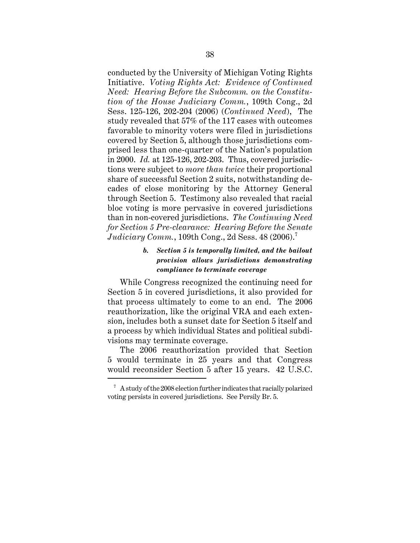conducted by the University of Michigan Voting Rights Initiative. *Voting Rights Act: Evidence of Continued Need: Hearing Before the Subcomm. on the Constitution of the House Judiciary Comm.*, 109th Cong., 2d Sess. 125-126, 202-204 (2006) (*Continued Need*), The study revealed that 57% of the 117 cases with outcomes favorable to minority voters were filed in jurisdictions covered by Section 5, although those jurisdictions comprised less than one-quarter of the Nation's population in 2000. *Id.* at 125-126, 202-203. Thus, covered jurisdictions were subject to *more than twice* their proportional share of successful Section 2 suits, notwithstanding decades of close monitoring by the Attorney General through Section 5. Testimony also revealed that racial bloc voting is more pervasive in covered jurisdictions than in non-covered jurisdictions. *The Continuing Need for Section 5 Pre-clearance: Hearing Before the Senate Judiciary Comm.*, 109th Cong., 2d Sess. 48 (2006).<sup>7</sup>

## *b. Section 5 is temporally limited, and the bailout provision allows jurisdictions demonstrating compliance to terminate coverage*

While Congress recognized the continuing need for Section 5 in covered jurisdictions, it also provided for that process ultimately to come to an end. The 2006 reauthorization, like the original VRA and each extension, includes both a sunset date for Section 5 itself and a process by which individual States and political subdivisions may terminate coverage.

The 2006 reauthorization provided that Section 5 would terminate in 25 years and that Congress would reconsider Section 5 after 15 years. 42 U.S.C.

 $7 A$  study of the 2008 election further indicates that racially polarized voting persists in covered jurisdictions. See Persily Br. 5.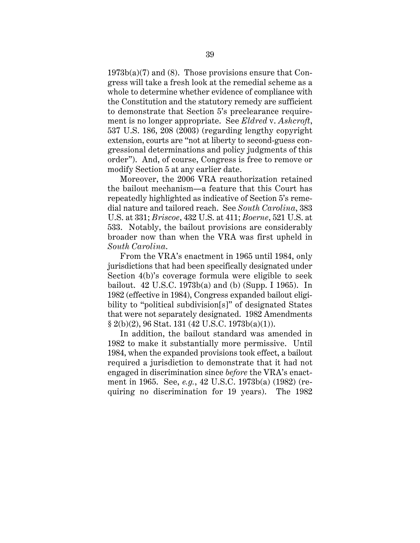$1973b(a)(7)$  and (8). Those provisions ensure that Congress will take a fresh look at the remedial scheme as a whole to determine whether evidence of compliance with the Constitution and the statutory remedy are sufficient to demonstrate that Section 5's preclearance requirement is no longer appropriate. See *Eldred* v. *Ashcroft*, 537 U.S. 186, 208 (2003) (regarding lengthy copyright extension, courts are "not at liberty to second-guess congressional determinations and policy judgments of this order"). And, of course, Congress is free to remove or modify Section 5 at any earlier date.

Moreover, the 2006 VRA reauthorization retained the bailout mechanism—a feature that this Court has repeatedly highlighted as indicative of Section 5's remedial nature and tailored reach. See *South Carolina*, 383 U.S. at 331; *Briscoe*, 432 U.S. at 411; *Boerne*, 521 U.S. at 533. Notably, the bailout provisions are considerably broader now than when the VRA was first upheld in *South Carolina*.

From the VRA's enactment in 1965 until 1984, only jurisdictions that had been specifically designated under Section 4(b)'s coverage formula were eligible to seek bailout. 42 U.S.C. 1973b(a) and (b) (Supp. I 1965). In 1982 (effective in 1984), Congress expanded bailout eligibility to "political subdivision[s]" of designated States that were not separately designated. 1982 Amendments  $§ 2(b)(2), 96$  Stat. 131 (42 U.S.C. 1973b(a)(1)).

In addition, the bailout standard was amended in 1982 to make it substantially more permissive. Until 1984, when the expanded provisions took effect, a bailout required a jurisdiction to demonstrate that it had not engaged in discrimination since *before* the VRA's enactment in 1965. See, *e.g.*, 42 U.S.C. 1973b(a) (1982) (requiring no discrimination for 19 years). The 1982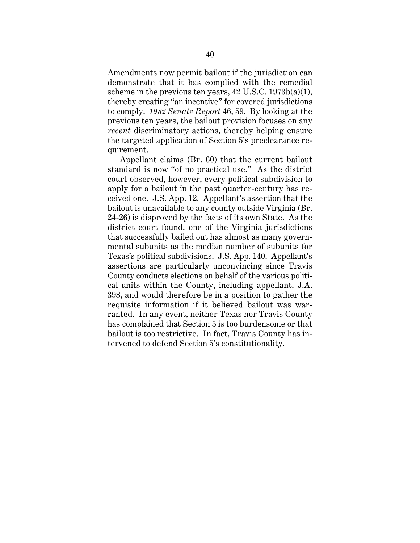Amendments now permit bailout if the jurisdiction can demonstrate that it has complied with the remedial scheme in the previous ten years,  $42 \text{ U.S.C. } 1973b(a)(1)$ , thereby creating "an incentive" for covered jurisdictions to comply. *1982 Senate Report* 46, 59. By looking at the previous ten years, the bailout provision focuses on any *recent* discriminatory actions, thereby helping ensure the targeted application of Section 5's preclearance requirement.

Appellant claims (Br. 60) that the current bailout standard is now "of no practical use." As the district court observed, however, every political subdivision to apply for a bailout in the past quarter-century has received one. J.S. App. 12. Appellant's assertion that the bailout is unavailable to any county outside Virginia (Br. 24-26) is disproved by the facts of its own State. As the district court found, one of the Virginia jurisdictions that successfully bailed out has almost as many governmental subunits as the median number of subunits for Texas's political subdivisions. J.S. App. 140. Appellant's assertions are particularly unconvincing since Travis County conducts elections on behalf of the various political units within the County, including appellant, J.A. 398, and would therefore be in a position to gather the requisite information if it believed bailout was warranted. In any event, neither Texas nor Travis County has complained that Section 5 is too burdensome or that bailout is too restrictive. In fact, Travis County has intervened to defend Section 5's constitutionality.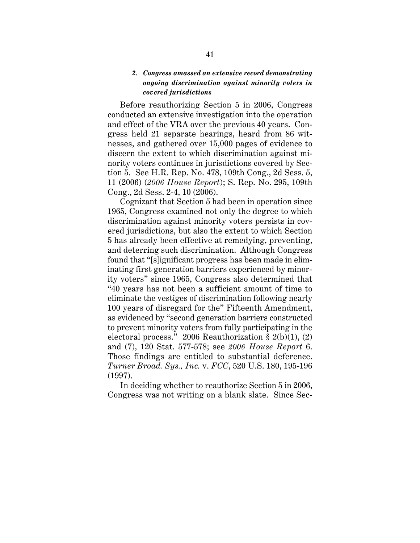## *2. Congress amassed an extensive record demonstrating ongoing discrimination against minority voters in covered jurisdictions*

Before reauthorizing Section 5 in 2006, Congress conducted an extensive investigation into the operation and effect of the VRA over the previous 40 years. Congress held 21 separate hearings, heard from 86 witnesses, and gathered over 15,000 pages of evidence to discern the extent to which discrimination against minority voters continues in jurisdictions covered by Section 5. See H.R. Rep. No. 478, 109th Cong., 2d Sess. 5, 11 (2006) (*2006 House Report*); S. Rep. No. 295, 109th Cong., 2d Sess. 2-4, 10 (2006).

Cognizant that Section 5 had been in operation since 1965, Congress examined not only the degree to which discrimination against minority voters persists in covered jurisdictions, but also the extent to which Section 5 has already been effective at remedying, preventing, and deterring such discrimination. Although Congress found that "[s]ignificant progress has been made in eliminating first generation barriers experienced by minority voters" since 1965, Congress also determined that "40 years has not been a sufficient amount of time to eliminate the vestiges of discrimination following nearly 100 years of disregard for the" Fifteenth Amendment, as evidenced by "second generation barriers constructed to prevent minority voters from fully participating in the electoral process." 2006 Reauthorization § 2(b)(1), (2) and (7), 120 Stat. 577-578; see *2006 House Report* 6. Those findings are entitled to substantial deference. *Turner Broad. Sys., Inc.* v. *FCC*, 520 U.S. 180, 195-196 (1997).

In deciding whether to reauthorize Section 5 in 2006, Congress was not writing on a blank slate. Since Sec-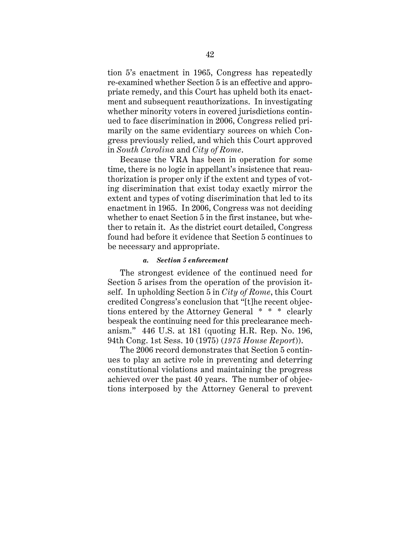tion 5's enactment in 1965, Congress has repeatedly re-examined whether Section 5 is an effective and appropriate remedy, and this Court has upheld both its enactment and subsequent reauthorizations. In investigating whether minority voters in covered jurisdictions continued to face discrimination in 2006, Congress relied primarily on the same evidentiary sources on which Congress previously relied, and which this Court approved in *South Carolina* and *City of Rome*.

Because the VRA has been in operation for some time, there is no logic in appellant's insistence that reauthorization is proper only if the extent and types of voting discrimination that exist today exactly mirror the extent and types of voting discrimination that led to its enactment in 1965. In 2006, Congress was not deciding whether to enact Section 5 in the first instance, but whether to retain it. As the district court detailed, Congress found had before it evidence that Section 5 continues to be necessary and appropriate.

#### *a. Section 5 enforcement*

The strongest evidence of the continued need for Section 5 arises from the operation of the provision itself. In upholding Section 5 in *City of Rome*, this Court credited Congress's conclusion that "[t]he recent objections entered by the Attorney General \* \* \* clearly bespeak the continuing need for this preclearance mechanism." 446 U.S. at 181 (quoting H.R. Rep. No. 196, 94th Cong. 1st Sess. 10 (1975) (*1975 House Report*)).

The 2006 record demonstrates that Section 5 continues to play an active role in preventing and deterring constitutional violations and maintaining the progress achieved over the past 40 years. The number of objections interposed by the Attorney General to prevent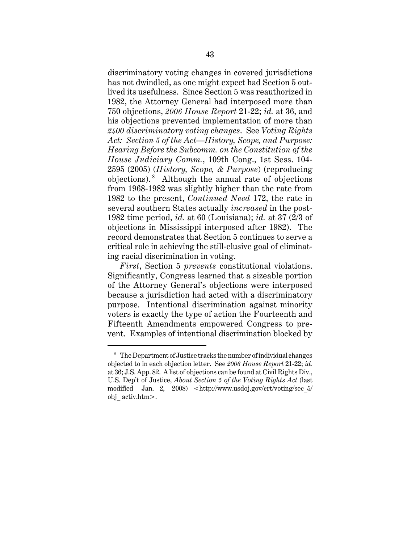discriminatory voting changes in covered jurisdictions has not dwindled, as one might expect had Section 5 outlived its usefulness. Since Section 5 was reauthorized in 1982, the Attorney General had interposed more than 750 objections, *2006 House Report* 21-22; *id.* at 36, and his objections prevented implementation of more than *2400 discriminatory voting changes*. See *Voting Rights Act: Section 5 of the Act—History, Scope, and Purpose: Hearing Before the Subcomm. on the Constitution of the House Judiciary Comm.*, 109th Cong., 1st Sess. 104- 2595 (2005) (*History, Scope, & Purpose*) (reproducing objections). <sup>8</sup> Although the annual rate of objections from 1968-1982 was slightly higher than the rate from 1982 to the present, *Continued Need* 172, the rate in several southern States actually *increased* in the post-1982 time period, *id.* at 60 (Louisiana); *id.* at 37 (2/3 of objections in Mississippi interposed after 1982). The record demonstrates that Section 5 continues to serve a critical role in achieving the still-elusive goal of eliminating racial discrimination in voting.

*First*, Section 5 *prevents* constitutional violations. Significantly, Congress learned that a sizeable portion of the Attorney General's objections were interposed because a jurisdiction had acted with a discriminatory purpose. Intentional discrimination against minority voters is exactly the type of action the Fourteenth and Fifteenth Amendments empowered Congress to prevent. Examples of intentional discrimination blocked by

<sup>8</sup> The Department of Justice tracks the number of individual changes objected to in each objection letter. See *2006 House Report* 21-22; *id.* at 36; J.S. App. 82. A list of objections can be found at Civil Rights Div., U.S. Dep't of Justice, *About Section 5 of the Voting Rights Act* (last modified Jan. 2, 2008) <http://www.usdoj.gov/crt/voting/sec\_5/ obj\_ activ.htm>.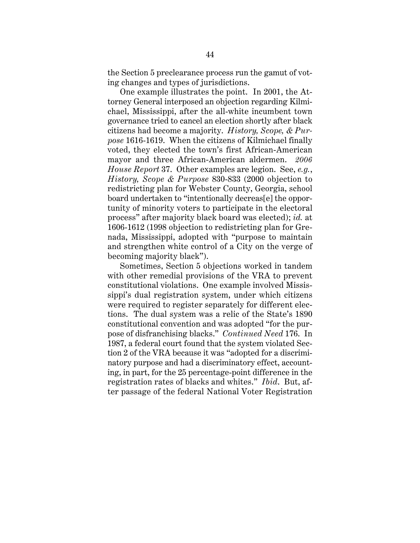the Section 5 preclearance process run the gamut of voting changes and types of jurisdictions.

One example illustrates the point. In 2001, the Attorney General interposed an objection regarding Kilmichael, Mississippi, after the all-white incumbent town governance tried to cancel an election shortly after black citizens had become a majority. *History, Scope, & Purpose* 1616-1619. When the citizens of Kilmichael finally voted, they elected the town's first African-American mayor and three African-American aldermen. *2006 House Report* 37. Other examples are legion. See, *e.g.*, *History, Scope & Purpose* 830-833 (2000 objection to redistricting plan for Webster County, Georgia, school board undertaken to "intentionally decreas[e] the opportunity of minority voters to participate in the electoral process" after majority black board was elected); *id.* at 1606-1612 (1998 objection to redistricting plan for Grenada, Mississippi, adopted with "purpose to maintain and strengthen white control of a City on the verge of becoming majority black").

Sometimes, Section 5 objections worked in tandem with other remedial provisions of the VRA to prevent constitutional violations. One example involved Mississippi's dual registration system, under which citizens were required to register separately for different elections. The dual system was a relic of the State's 1890 constitutional convention and was adopted "for the purpose of disfranchising blacks." *Continued Need* 176. In 1987, a federal court found that the system violated Section 2 of the VRA because it was "adopted for a discriminatory purpose and had a discriminatory effect, accounting, in part, for the 25 percentage-point difference in the registration rates of blacks and whites." *Ibid*. But, after passage of the federal National Voter Registration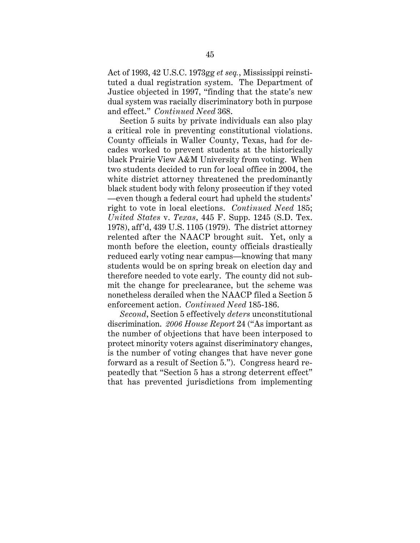Act of 1993, 42 U.S.C. 1973gg *et seq.*, Mississippi reinstituted a dual registration system. The Department of Justice objected in 1997, "finding that the state's new dual system was racially discriminatory both in purpose and effect." *Continued Need* 368.

Section 5 suits by private individuals can also play a critical role in preventing constitutional violations. County officials in Waller County, Texas, had for decades worked to prevent students at the historically black Prairie View A&M University from voting. When two students decided to run for local office in 2004, the white district attorney threatened the predominantly black student body with felony prosecution if they voted —even though a federal court had upheld the students' right to vote in local elections. *Continued Need* 185; *United States* v. *Texas*, 445 F. Supp. 1245 (S.D. Tex. 1978), aff'd, 439 U.S. 1105 (1979). The district attorney relented after the NAACP brought suit. Yet, only a month before the election, county officials drastically reduced early voting near campus—knowing that many students would be on spring break on election day and therefore needed to vote early. The county did not submit the change for preclearance, but the scheme was nonetheless derailed when the NAACP filed a Section 5 enforcement action. *Continued Need* 185-186.

*Second*, Section 5 effectively *deters* unconstitutional discrimination. *2006 House Report* 24 ("As important as the number of objections that have been interposed to protect minority voters against discriminatory changes, is the number of voting changes that have never gone forward as a result of Section 5."). Congress heard repeatedly that "Section 5 has a strong deterrent effect" that has prevented jurisdictions from implementing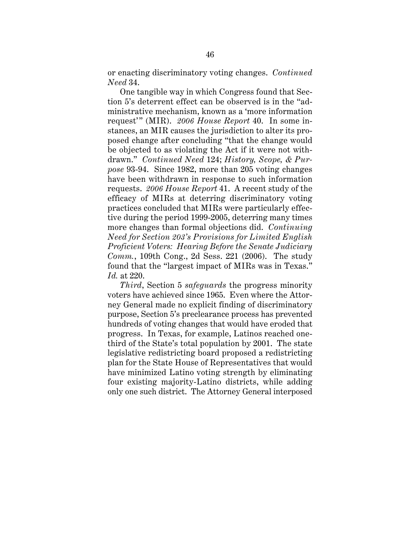or enacting discriminatory voting changes. *Continued Need* 34.

One tangible way in which Congress found that Section 5's deterrent effect can be observed is in the "administrative mechanism, known as a 'more information request'" (MIR). *2006 House Report* 40. In some instances, an MIR causes the jurisdiction to alter its proposed change after concluding "that the change would be objected to as violating the Act if it were not withdrawn." *Continued Need* 124; *History, Scope, & Purpose* 93-94. Since 1982, more than 205 voting changes have been withdrawn in response to such information requests. *2006 House Report* 41. A recent study of the efficacy of MIRs at deterring discriminatory voting practices concluded that MIRs were particularly effective during the period 1999-2005, deterring many times more changes than formal objections did. *Continuing Need for Section 203's Provisions for Limited English Proficient Voters: Hearing Before the Senate Judiciary Comm.*, 109th Cong., 2d Sess. 221 (2006). The study found that the "largest impact of MIRs was in Texas." *Id.* at 220.

*Third*, Section 5 *safeguards* the progress minority voters have achieved since 1965. Even where the Attorney General made no explicit finding of discriminatory purpose, Section 5's preclearance process has prevented hundreds of voting changes that would have eroded that progress. In Texas, for example, Latinos reached onethird of the State's total population by 2001. The state legislative redistricting board proposed a redistricting plan for the State House of Representatives that would have minimized Latino voting strength by eliminating four existing majority-Latino districts, while adding only one such district. The Attorney General interposed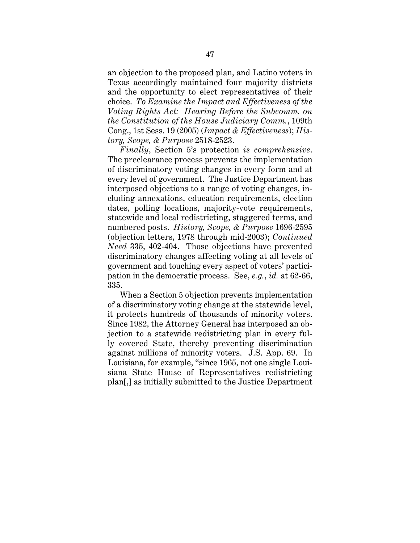an objection to the proposed plan, and Latino voters in Texas accordingly maintained four majority districts and the opportunity to elect representatives of their choice. *To Examine the Impact and Effectiveness of the Voting Rights Act: Hearing Before the Subcomm. on the Constitution of the House Judiciary Comm.*, 109th Cong., 1st Sess. 19 (2005) (*Impact & Effectiveness*); *History, Scope, & Purpose* 2518-2523.

*Finally*, Section 5's protection *is comprehensive*. The preclearance process prevents the implementation of discriminatory voting changes in every form and at every level of government. The Justice Department has interposed objections to a range of voting changes, including annexations, education requirements, election dates, polling locations, majority-vote requirements, statewide and local redistricting, staggered terms, and numbered posts. *History, Scope, & Purpose* 1696-2595 (objection letters, 1978 through mid-2003); *Continued Need* 335, 402-404. Those objections have prevented discriminatory changes affecting voting at all levels of government and touching every aspect of voters' participation in the democratic process. See, *e.g.*, *id.* at 62-66, 335.

When a Section 5 objection prevents implementation of a discriminatory voting change at the statewide level, it protects hundreds of thousands of minority voters. Since 1982, the Attorney General has interposed an objection to a statewide redistricting plan in every fully covered State, thereby preventing discrimination against millions of minority voters. J.S. App. 69. In Louisiana, for example, "since 1965, not one single Louisiana State House of Representatives redistricting plan[,] as initially submitted to the Justice Department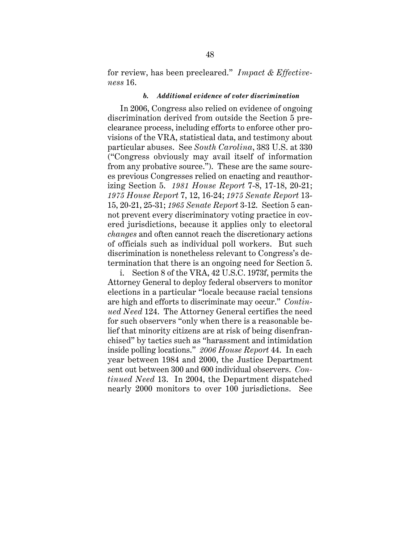for review, has been precleared." *Impact & Effectiveness* 16.

#### *b. Additional evidence of voter discrimination*

In 2006, Congress also relied on evidence of ongoing discrimination derived from outside the Section 5 preclearance process, including efforts to enforce other provisions of the VRA, statistical data, and testimony about particular abuses. See *South Carolina*, 383 U.S. at 330 ("Congress obviously may avail itself of information from any probative source."). These are the same sources previous Congresses relied on enacting and reauthorizing Section 5. *1981 House Report* 7-8, 17-18, 20-21; *1975 House Report* 7, 12, 16-24; *1975 Senate Report* 13- 15, 20-21, 25-31; *1965 Senate Report* 3-12. Section 5 cannot prevent every discriminatory voting practice in covered jurisdictions, because it applies only to electoral *changes* and often cannot reach the discretionary actions of officials such as individual poll workers. But such discrimination is nonetheless relevant to Congress's determination that there is an ongoing need for Section 5.

i. Section 8 of the VRA, 42 U.S.C. 1973f, permits the Attorney General to deploy federal observers to monitor elections in a particular "locale because racial tensions are high and efforts to discriminate may occur." *Continued Need* 124. The Attorney General certifies the need for such observers "only when there is a reasonable belief that minority citizens are at risk of being disenfranchised" by tactics such as "harassment and intimidation inside polling locations." *2006 House Report* 44. In each year between 1984 and 2000, the Justice Department sent out between 300 and 600 individual observers. *Continued Need* 13. In 2004, the Department dispatched nearly 2000 monitors to over 100 jurisdictions. See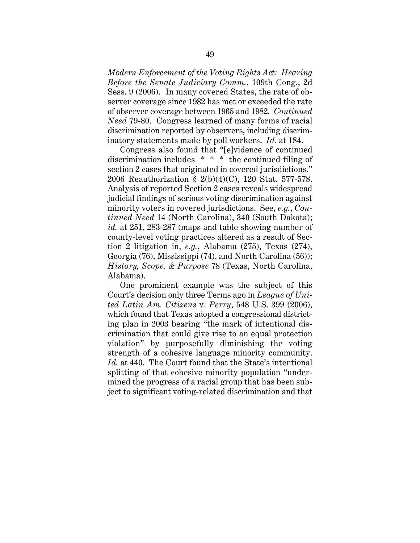*Modern Enforcement of the Voting Rights Act: Hearing Before the Senate Judiciary Comm.*, 109th Cong., 2d Sess. 9 (2006). In many covered States, the rate of observer coverage since 1982 has met or exceeded the rate of observer coverage between 1965 and 1982. *Continued Need* 79-80. Congress learned of many forms of racial discrimination reported by observers, including discriminatory statements made by poll workers. *Id.* at 184.

Congress also found that "[e]vidence of continued discrimination includes \* \* \* the continued filing of section 2 cases that originated in covered jurisdictions." 2006 Reauthorization § 2(b)(4)(C), 120 Stat. 577-578. Analysis of reported Section 2 cases reveals widespread judicial findings of serious voting discrimination against minority voters in covered jurisdictions. See, *e.g.*, *Continued Need* 14 (North Carolina), 340 (South Dakota); *id.* at 251, 283-287 (maps and table showing number of county-level voting practices altered as a result of Section 2 litigation in, *e.g.*, Alabama (275), Texas (274), Georgia (76), Mississippi (74), and North Carolina (56)); *History, Scope, & Purpose* 78 (Texas, North Carolina, Alabama).

One prominent example was the subject of this Court's decision only three Terms ago in *League of United Latin Am. Citizens* v. *Perry*, 548 U.S. 399 (2006), which found that Texas adopted a congressional districting plan in 2003 bearing "the mark of intentional discrimination that could give rise to an equal protection violation" by purposefully diminishing the voting strength of a cohesive language minority community. *Id.* at 440. The Court found that the State's intentional splitting of that cohesive minority population "undermined the progress of a racial group that has been subject to significant voting-related discrimination and that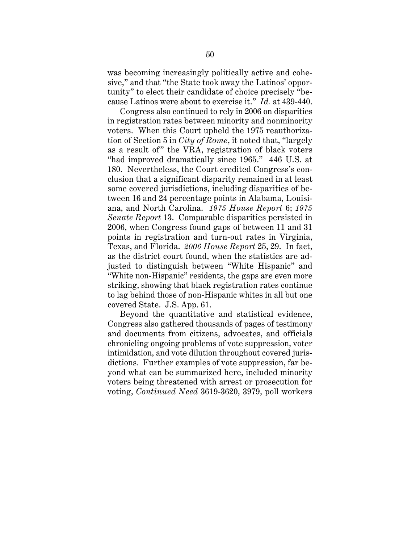was becoming increasingly politically active and cohesive," and that "the State took away the Latinos' opportunity" to elect their candidate of choice precisely "because Latinos were about to exercise it." *Id.* at 439-440.

Congress also continued to rely in 2006 on disparities in registration rates between minority and nonminority voters. When this Court upheld the 1975 reauthorization of Section 5 in *City of Rome*, it noted that, "largely as a result of" the VRA, registration of black voters "had improved dramatically since 1965." 446 U.S. at 180. Nevertheless, the Court credited Congress's conclusion that a significant disparity remained in at least some covered jurisdictions, including disparities of between 16 and 24 percentage points in Alabama, Louisiana, and North Carolina. *1975 House Report* 6; *1975 Senate Report* 13. Comparable disparities persisted in 2006, when Congress found gaps of between 11 and 31 points in registration and turn-out rates in Virginia, Texas, and Florida. *2006 House Report* 25, 29. In fact, as the district court found, when the statistics are adjusted to distinguish between "White Hispanic" and "White non-Hispanic" residents, the gaps are even more striking, showing that black registration rates continue to lag behind those of non-Hispanic whites in all but one covered State. J.S. App. 61.

Beyond the quantitative and statistical evidence, Congress also gathered thousands of pages of testimony and documents from citizens, advocates, and officials chronicling ongoing problems of vote suppression, voter intimidation, and vote dilution throughout covered jurisdictions. Further examples of vote suppression, far beyond what can be summarized here, included minority voters being threatened with arrest or prosecution for voting, *Continued Need* 3619-3620, 3979, poll workers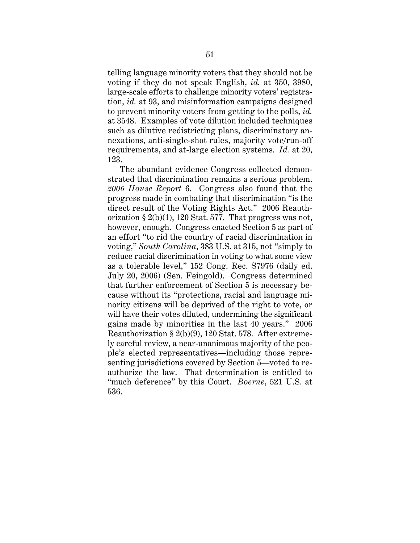telling language minority voters that they should not be voting if they do not speak English, *id.* at 350, 3980, large-scale efforts to challenge minority voters' registration, *id.* at 93, and misinformation campaigns designed to prevent minority voters from getting to the polls, *id.* at 3548. Examples of vote dilution included techniques such as dilutive redistricting plans, discriminatory annexations, anti-single-shot rules, majority vote/run-off requirements, and at-large election systems. *Id.* at 20, 123.

The abundant evidence Congress collected demonstrated that discrimination remains a serious problem. *2006 House Report* 6. Congress also found that the progress made in combating that discrimination "is the direct result of the Voting Rights Act." 2006 Reauthorization  $\S 2(b)(1)$ , 120 Stat. 577. That progress was not, however, enough. Congress enacted Section 5 as part of an effort "to rid the country of racial discrimination in voting," *South Carolina*, 383 U.S. at 315, not "simply to reduce racial discrimination in voting to what some view as a tolerable level," 152 Cong. Rec. S7976 (daily ed. July 20, 2006) (Sen. Feingold). Congress determined that further enforcement of Section 5 is necessary because without its "protections, racial and language minority citizens will be deprived of the right to vote, or will have their votes diluted, undermining the significant gains made by minorities in the last 40 years." 2006 Reauthorization § 2(b)(9), 120 Stat. 578. After extremely careful review, a near-unanimous majority of the people's elected representatives—including those representing jurisdictions covered by Section 5—voted to reauthorize the law. That determination is entitled to "much deference" by this Court. *Boerne*, 521 U.S. at 536.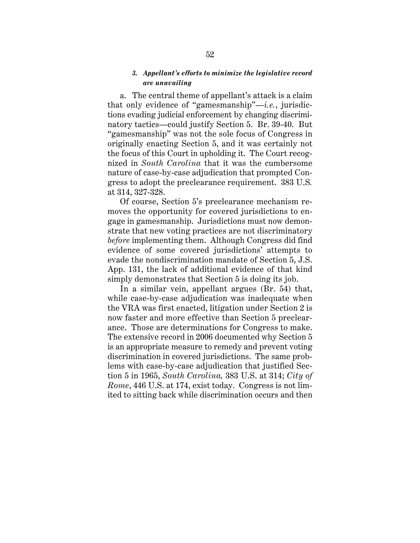### *3. Appellant's efforts to minimize the legislative record are unavailing*

a. The central theme of appellant's attack is a claim that only evidence of "gamesmanship"—*i.e.*, jurisdictions evading judicial enforcement by changing discriminatory tactics—could justify Section 5. Br. 39-40. But "gamesmanship" was not the sole focus of Congress in originally enacting Section 5, and it was certainly not the focus of this Court in upholding it. The Court recognized in *South Carolina* that it was the cumbersome nature of case-by-case adjudication that prompted Congress to adopt the preclearance requirement. 383 U.S*.* at 314, 327-328.

Of course, Section 5's preclearance mechanism removes the opportunity for covered jurisdictions to engage in gamesmanship. Jurisdictions must now demonstrate that new voting practices are not discriminatory *before* implementing them. Although Congress did find evidence of some covered jurisdictions' attempts to evade the nondiscrimination mandate of Section 5, J.S. App. 131, the lack of additional evidence of that kind simply demonstrates that Section 5 is doing its job.

In a similar vein, appellant argues (Br. 54) that, while case-by-case adjudication was inadequate when the VRA was first enacted, litigation under Section 2 is now faster and more effective than Section 5 preclearance. Those are determinations for Congress to make. The extensive record in 2006 documented why Section 5 is an appropriate measure to remedy and prevent voting discrimination in covered jurisdictions. The same problems with case-by-case adjudication that justified Section 5 in 1965, *South Carolina,* 383 U.S. at 314; *City of Rome*, 446 U.S. at 174, exist today. Congress is not limited to sitting back while discrimination occurs and then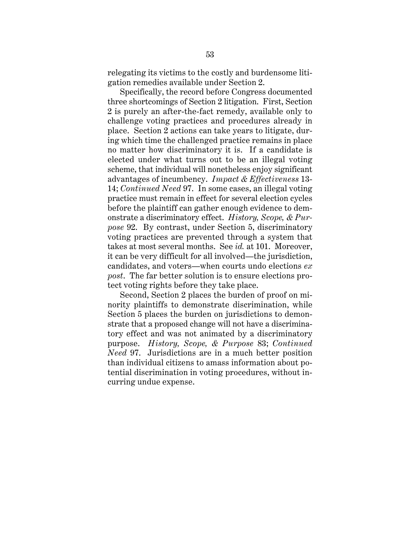relegating its victims to the costly and burdensome litigation remedies available under Section 2.

Specifically, the record before Congress documented three shortcomings of Section 2 litigation. First, Section 2 is purely an after-the-fact remedy, available only to challenge voting practices and procedures already in place. Section 2 actions can take years to litigate, during which time the challenged practice remains in place no matter how discriminatory it is. If a candidate is elected under what turns out to be an illegal voting scheme, that individual will nonetheless enjoy significant advantages of incumbency. *Impact & Effectiveness* 13- 14; *Continued Need* 97. In some cases, an illegal voting practice must remain in effect for several election cycles before the plaintiff can gather enough evidence to demonstrate a discriminatory effect. *History, Scope, & Purpose* 92. By contrast, under Section 5, discriminatory voting practices are prevented through a system that takes at most several months. See *id.* at 101. Moreover, it can be very difficult for all involved—the jurisdiction, candidates, and voters—when courts undo elections *ex post*. The far better solution is to ensure elections protect voting rights before they take place.

Second, Section 2 places the burden of proof on minority plaintiffs to demonstrate discrimination, while Section 5 places the burden on jurisdictions to demonstrate that a proposed change will not have a discriminatory effect and was not animated by a discriminatory purpose. *History, Scope, & Purpose* 83; *Continued Need* 97. Jurisdictions are in a much better position than individual citizens to amass information about potential discrimination in voting procedures, without incurring undue expense.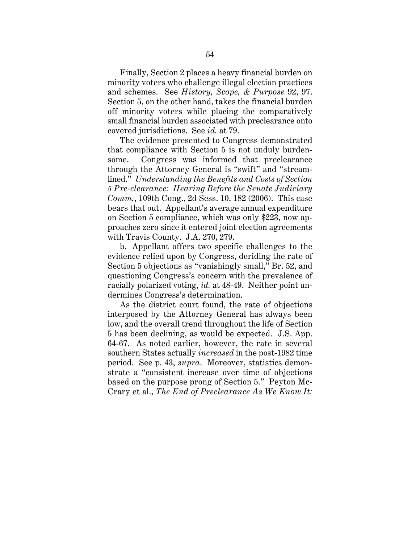Finally, Section 2 places a heavy financial burden on minority voters who challenge illegal election practices and schemes. See *History, Scope, & Purpose* 92, 97. Section 5, on the other hand, takes the financial burden off minority voters while placing the comparatively small financial burden associated with preclearance onto covered jurisdictions. See *id.* at 79.

The evidence presented to Congress demonstrated that compliance with Section 5 is not unduly burdensome. Congress was informed that preclearance through the Attorney General is "swift" and "streamlined." *Understanding the Benefits and Costs of Section 5 Pre-clearance: Hearing Before the Senate Judiciary Comm.*, 109th Cong., 2d Sess. 10, 182 (2006). This case bears that out. Appellant's average annual expenditure on Section 5 compliance, which was only \$223, now approaches zero since it entered joint election agreements with Travis County. J.A. 270, 279.

b. Appellant offers two specific challenges to the evidence relied upon by Congress, deriding the rate of Section 5 objections as "vanishingly small," Br. 52, and questioning Congress's concern with the prevalence of racially polarized voting, *id.* at 48-49. Neither point undermines Congress's determination.

As the district court found, the rate of objections interposed by the Attorney General has always been low, and the overall trend throughout the life of Section 5 has been declining, as would be expected. J.S. App. 64-67. As noted earlier, however, the rate in several southern States actually *increased* in the post-1982 time period. See p. 43, *supra*. Moreover, statistics demonstrate a "consistent increase over time of objections based on the purpose prong of Section 5." Peyton Mc-Crary et al., *The End of Preclearance As We Know It:*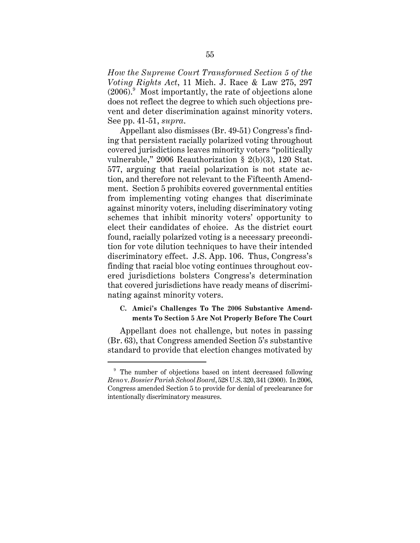*How the Supreme Court Transformed Section 5 of the Voting Rights Act*, 11 Mich. J. Race & Law 275, 297 (2006). Most importantly, the rate of objections alone does not reflect the degree to which such objections prevent and deter discrimination against minority voters. See pp. 41-51, *supra*.

Appellant also dismisses (Br. 49-51) Congress's finding that persistent racially polarized voting throughout covered jurisdictions leaves minority voters "politically vulnerable," 2006 Reauthorization § 2(b)(3), 120 Stat. 577, arguing that racial polarization is not state action, and therefore not relevant to the Fifteenth Amendment. Section 5 prohibits covered governmental entities from implementing voting changes that discriminate against minority voters, including discriminatory voting schemes that inhibit minority voters' opportunity to elect their candidates of choice. As the district court found, racially polarized voting is a necessary precondition for vote dilution techniques to have their intended discriminatory effect. J.S. App. 106. Thus, Congress's finding that racial bloc voting continues throughout covered jurisdictions bolsters Congress's determination that covered jurisdictions have ready means of discriminating against minority voters.

## **C. Amici's Challenges To The 2006 Substantive Amendments To Section 5 Are Not Properly Before The Court**

Appellant does not challenge, but notes in passing (Br. 63), that Congress amended Section 5's substantive standard to provide that election changes motivated by

<sup>&</sup>lt;sup>9</sup> The number of objections based on intent decreased following *Reno* v. *Bossier Parish School Board*, 528 U.S. 320, 341 (2000). In 2006, Congress amended Section 5 to provide for denial of preclearance for intentionally discriminatory measures.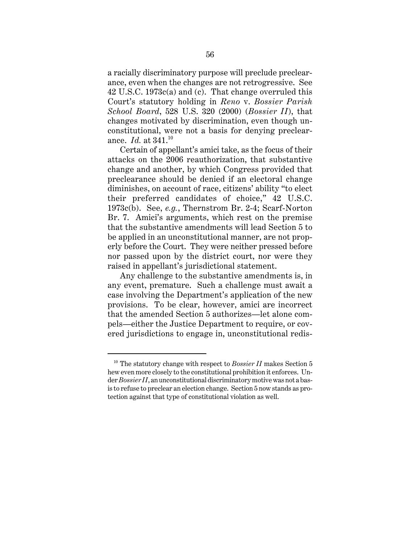a racially discriminatory purpose will preclude preclearance, even when the changes are not retrogressive. See 42 U.S.C. 1973c(a) and (c). That change overruled this Court's statutory holding in *Reno* v. *Bossier Parish School Board*, 528 U.S. 320 (2000) (*Bossier II*), that changes motivated by discrimination, even though unconstitutional, were not a basis for denying preclearance. *Id.* at 341.<sup>10</sup>

Certain of appellant's amici take, as the focus of their attacks on the 2006 reauthorization, that substantive change and another, by which Congress provided that preclearance should be denied if an electoral change diminishes, on account of race, citizens' ability "to elect their preferred candidates of choice," 42 U.S.C. 1973c(b). See, *e.g.*, Thernstrom Br. 2-4; Scarf-Norton Br. 7. Amici's arguments, which rest on the premise that the substantive amendments will lead Section 5 to be applied in an unconstitutional manner, are not properly before the Court. They were neither pressed before nor passed upon by the district court, nor were they raised in appellant's jurisdictional statement.

Any challenge to the substantive amendments is, in any event, premature. Such a challenge must await a case involving the Department's application of the new provisions. To be clear, however, amici are incorrect that the amended Section 5 authorizes—let alone compels—either the Justice Department to require, or covered jurisdictions to engage in, unconstitutional redis-

<sup>&</sup>lt;sup>10</sup> The statutory change with respect to *Bossier II* makes Section 5 hew even more closely to the constitutional prohibition it enforces. Under *Bossier II*, an unconstitutional discriminatory motive was not a basis to refuse to preclear an election change. Section 5 now stands as protection against that type of constitutional violation as well.